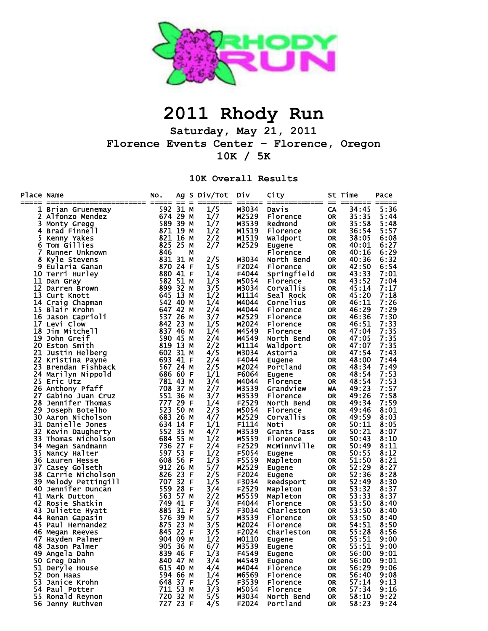

## **2011 Rhody Run**

**Saturday, May 21, 2011 Florence Events Center – Florence, Oregon 10K / 5K** 

**10K Overall Results**

| Place Name | =======================            | No.<br>===== ==      |      | $\equiv$ | Ag S Div/Tot | Div<br>$=$ $=$ $=$ $=$ $=$ $=$ | City<br>============= | $=$                    | St Time<br>======== ===== | Pace         |
|------------|------------------------------------|----------------------|------|----------|--------------|--------------------------------|-----------------------|------------------------|---------------------------|--------------|
| ı          | Brian Gruenemay                    | 592                  | 31 M |          | 1/5          | M3034                          | Davis                 | CA                     | 34:45                     | 5:36         |
| 2          | Alfonzo Mendez                     | 674 29 M             |      |          | 1/7          | M2529                          | Florence              | <b>OR</b>              | 35:35                     | 5:44         |
| 3          | Monty Gregg                        | 589 39 M             |      |          | 1/7          | M3539                          | Redmond               | <b>OR</b>              | 35:58                     | 5:48         |
| 4          | Brad Finnell                       | 871 19               |      | м        | 1/2          | M1519                          | Florence              | <b>OR</b>              | 36:54                     | 5:57         |
| 5          | Kenny Yakes                        | 821                  | 16   | M        | 2/2          | M1519                          | Waldport              | <b>OR</b>              | 38:05                     | 6:08         |
| 6          | Tom Gillies                        | 825                  | 25   | M        | 2/7          | M2529                          | Eugene                | OR                     | 40:01                     | 6:27         |
| 7          | Runner Unknown                     | 846                  |      | М        |              |                                | Florence              | <b>OR</b>              | 40:16                     | 6:29         |
| 8          | Kyle Stevens                       | 831 31               |      | M        | 2/5          | M3034                          | North Bend            | OR                     | 40:36                     | 6:32         |
| 9          | Eularia Ganan                      | 870                  | 24   | F        | 1/5          | F2024                          | Florence              | <b>OR</b>              | 42:50                     | 6:54         |
|            | 10 Terri Hurley                    | 880                  | 41   | -F       | 1/4          | F4044                          | Springfield           | OR                     | 43:33                     | 7:01         |
|            | 11 Dan Gray                        | 582                  | 51   | M        | 1/3          | M5054                          | Florence              | <b>OR</b>              | 43:52                     | 7:04         |
|            | 12 Darren Brown                    | 899                  | 32   | м        | 3/5          | M3034                          | Corvallis             | <b>OR</b>              | 45:14                     | 7:17         |
| 13         | Curt Knott                         | 645                  | 13   | м        | 1/2          | M1114                          | Seal Rock             | OR                     | 45:20                     | 7:18         |
|            | 14 Craig Chapman                   | 542                  | 40   | м        | 1/4          | M4044                          | Cornelius             | OR                     | 46:11                     | 7:26         |
| 15         | Blair Krohn                        | 647                  | 42   | м        | 2/4          | M4044                          | Florence              | <b>OR</b>              | 46:29                     | 7:29         |
|            | 16 Jason Caprioli                  | 537                  | 26   | M        | 3/7          | M2529                          | Florence              | OR                     | 46:36                     | 7:30         |
| 17         | Levi Clow                          | 842                  | 23   | м        | 1/5          | M2024                          | Florence              | OR                     | 46:51                     | 7:33         |
| 18         | Jim Mitchell                       | 837                  | 46   | M        | 1/4          | M4549                          | Florence              | OR                     | 47:04                     | 7:35         |
|            | 19 John Greif                      | 590                  | 45   | M        | 2/4          | M4549                          | North Bend            | <b>OR</b>              | 47:05                     | 7:35         |
|            | 20 Eston Smith                     | 819                  | 13   | M        | 2/2          | M1114                          | Waldport              | <b>OR</b>              | 47:07                     | 7:35         |
| 21         | Justin Helberg                     | 602                  | 31   | M        | 4/5          | M3034                          | Astoria               | <b>OR</b>              | 47:54                     | 7:43         |
| 22         | Kristina Payne                     | 693 41               |      | -F       | 2/4          | F4044                          | Eugene                | OR                     | 48:00                     | 7:44         |
| 23         | Brendan Fishback                   | 567 24               |      | M        | 2/5          | M2024                          | Portland              | <b>OR</b>              | 48:34                     | 7:49         |
| 24         | Marilyn Nippold                    | 686 60               |      | -F       | 1/1          | F6064                          | Eugene                | OR                     | 48:54                     | 7:53         |
|            | 25 Eric Utz                        | 781                  | 43   | м        | 3/4          | M4044                          | Florence              | <b>OR</b>              | 48:54                     | 7:53         |
|            | 26 Anthony Pfaff                   | 708                  | 37 M |          | 2/7          | M3539                          | Grandview             | WA                     | 49:23                     | 7:57         |
| 27         | Gabino Juan Cruz                   | 551                  | 36   | M        | 3/7          | M3539                          | Florence              | OR                     | 49:26                     | 7:58         |
|            | 28 Jennifer Thomas                 | 777                  | 29   | -F       | 1/4          | F2529                          | North Bend            | OR                     | 49:34                     | 7:59         |
| 29         | Joseph Botelho                     | 523                  | 50 M |          | 2/3          | M5054                          | Florence              | OR                     | 49:46                     | 8:01         |
| 30         | Aaron Nicholson                    | 683 26               |      | M        | 4/7          | M2529                          | Corvallis             | <b>OR</b>              | 49:59                     | 8:03         |
| 31         | Danielle Jones                     | 634 14               |      | -F       | 1/1          | F1114                          | Noti                  | <b>OR</b>              | 50:11                     | 8:05         |
| 32         | Kevin Daugherty                    | 552                  | 35   | M        | 4/7          | M3539                          | Grants Pass           | <b>OR</b>              | 50:21                     | 8:07         |
| 33         | Thomas Nicholson                   | 684                  | 55   | м        | 1/2          | M5559                          | Florence              | <b>OR</b>              | 50:43                     | 8:10         |
| 34         | Megan Sandmann                     | 736 27               |      | F        | 2/4          | F2529                          | McMinnville           | <b>OR</b>              | 50:49                     | 8:11         |
| 35         | Nancy Halter                       | 597                  | 53   | F        | 1/2          | F5054                          | Eugene                | <b>OR</b>              | 50:55                     | 8:12         |
|            | 36 Lauren Hesse                    | 608                  | 56 F |          | 1/3          | F5559                          | Mapleton              | <b>OR</b>              | 51:50                     | 8:21         |
| 37         | Casey Golseth                      | 912                  | -26  | м        | 5/7          | M2529                          | Eugene                | <b>OR</b>              | 52:29                     | 8:27         |
|            | 38 Carrie Nicholson                | 826 23               |      | -F       | 2/5          | F2024                          | Eugene                | <b>OR</b>              | 52:36                     | 8:28         |
|            | 39 Melody Pettingill               | 707                  | 32   | F        | 1/5          | F3034                          | Reedsport             | <b>OR</b>              | 52:49                     | 8:30         |
|            | 40 Jennifer Duncan                 | 559                  | 28   | F        | 3/4          | F2529                          | Mapleton              | OR                     | 53:32                     | 8:37         |
|            | 41 Mark Dutton                     | 563                  | 57   | М        | 2/2          | M5559                          | Mapleton              | OR                     | 53:33                     | 8:37         |
| 42         | Rosie Shatkin                      | 749                  | 41   | F        | 3/4          | F4044                          | Florence              | OR                     | 53:50                     | 8:40         |
| 43         | Juliette Hyatt                     | 885                  | 31   | F        | 2/5          | F3034                          | Charleston            | OR                     | 53:50                     | 8:40         |
|            | 44 Renan Gapasin                   | 576                  | 39   | М        | 5/7          | M3539                          | Florence              | OR                     | 53:50                     | 8:40         |
|            | 45 Paul Hernandez                  | 875                  | 23   | м        | 3/5          | M2024                          | Florence              | <b>OR</b>              | 54:51                     | 8:50         |
| 46         | Megan Reeves                       | 845 22               |      | F        | 3/5          | F2024                          | Charleston            | <b>OR</b>              | 55:28                     | 8:56         |
|            | 47 Hayden Palmer                   | 904 09               |      | M        | 1/2          | M0110                          | Eugene                | <b>OR</b>              | 55:51                     | 9:00         |
|            | 48 Jason Palmer                    | 905 36 M             |      |          | 6/7          | M3539                          | <b>Eugene</b>         | <b>OR</b>              | 55:51                     | 9:00         |
|            | 49 Angela Dahn                     | 839 46 F             |      |          | 1/3          | F4549                          | Eugene                | <b>OR</b>              | 56:00                     | 9:01         |
|            | 50 Greg Dahn                       | 840 47 M             |      |          | 3/4          | M4549                          | Eugene                | <b>OR</b>              | 56:00                     | 9:01         |
|            | 51 Deryle House                    | 615 40 M             |      |          | 4/4          | M4044                          | Florence              | <b>OR</b>              | 56:29                     | 9:06         |
|            | 52 Don Haas                        | 594 66 M             |      |          | 1/4          | M6569                          | Florence              | <b>OR</b>              | 56:40                     | 9:08         |
|            | 53 Janice Krohn                    | 648 37 F<br>711 53 M |      |          | 1/5          | F3539                          | Florence<br>Florence  | <b>OR</b>              | 57:14                     | 9:13         |
|            | 54 Paul Potter<br>55 Ronald Reynon | 720 32 M             |      |          | 3/3          | M5054<br>M3034                 | North Bend            | <b>OR</b><br><b>OR</b> | 57:34<br>58:10            | 9:16<br>9:22 |
|            |                                    | 727 23 F             |      |          | 5/5<br>4/5   | F2024                          | Portland              | <b>OR</b>              | 58:23                     | 9:24         |
|            | 56 Jenny Ruthven                   |                      |      |          |              |                                |                       |                        |                           |              |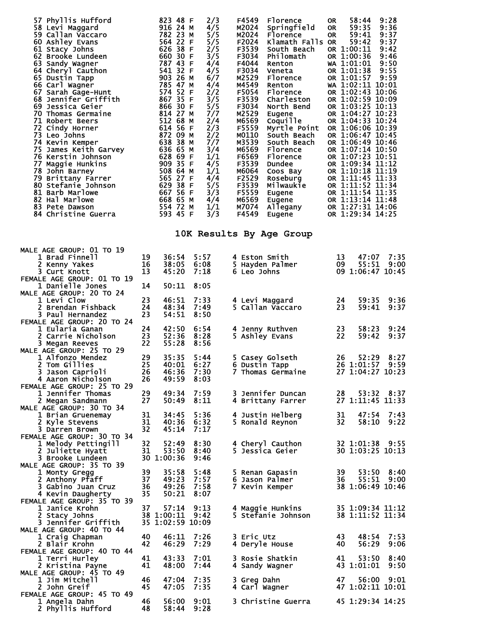| 57 Phyllis Hufford<br>58 Levi Maggard<br>59 Callan Vaccaro<br>60 Ashley Evans<br>61 Stacy Johns<br>62 Brooke Lundeen<br>63 Sandy Wagner<br>64 Cheryl Cauthon<br>65 Dustin Tapp<br>66 Carl Wagner<br>67 Sarah Gage-Hunt<br>68 Jennifer Griffith<br>69 Jessica Geier<br>70 Thomas Germaine<br><b>70 Thomas --</b><br><b>71 Robert Beers<br/> 72 Cindy Horner<br/> 73 Leo Johns<br/> 74 Kevin Kemper<br/> 75 James Keith Garvey<br/> 76 Kerstin Johnson<br/> -- Hornie Hunkins</b><br>77 Mayyıc<br>78 John Barney<br>79 Brittany Farrer<br>80 Stefanie Johnson<br>31 Barlowe<br>82 Hal Marlowe<br>83 Pete Dawson<br>84 Christine Guerra |                | 823 48 F<br>916 24 M<br>782 23 M<br>564 22 F<br>$626$ 38 F<br>660 30 F<br>787 43 F<br>541 32 F<br>903 26 M<br>785 47 M<br>574 52 F<br>867 35 F<br>866 30 F<br>814 27 M<br>512 68 M<br>614 56 F<br>872 09 M<br>638 38 M<br>636 65 м<br>628 69 F<br>909 35 F<br>508 64 M<br>565 27 F<br>629 38 F<br>667 56 F<br>668 65 M<br>554 72 M<br>593 45 F | 2/3<br>4/5<br>5/5<br>5/5<br>2/5<br>3/5<br>4/4<br>4/5<br>6/7<br>4/4<br>2/2<br>3/5<br>5/5<br>7/7<br>2/4<br>2/3<br>2/2<br>7/7<br>3/4<br>1/1<br>4/5<br>1/1<br>4/4<br>5/5<br>3/3<br>4/4<br>1/1<br>3/3 | F4549<br>Florence<br>M2024<br>Springfield<br>M2024<br>Florence<br>Klamath Falls OR<br>F2024<br>F3539<br>South Beach<br>F3034<br>Philomath<br>F4044<br>Renton<br>F3034<br>Veneta<br>M2529<br>Florence<br>M4549<br>Renton<br>F5054<br>Florence<br>F3539<br>Charleston<br>F3034<br>North Bend<br>M2529<br>Eugene<br>M6569<br>Coquille<br>F5559<br>Myrtle Point<br>M0110<br>South Beach<br>M3539<br>South Beach<br>M6569<br>Florence<br>F6569<br>Florence<br>F3539<br>Dundee<br>M6064<br>Coos Bay<br>F2529<br>Roseburg<br>F3539<br>Milwaukie<br>F5559<br>Eugene<br>M6569<br>Eugene<br>Allegany<br>M7074<br>F4549<br>Eugene | 9:28<br>58:44<br>0R<br>59:35<br>9:36<br>OR.<br>59:41<br>9:37<br>OR.<br>59:42<br>9:37<br>OR 1:00:11<br>9:42<br>OR 1:00:36<br>9:46<br>WA 1:01:01<br>9:50<br>OR 1:01:38<br>9:55<br>OR 1:01:57 9:59<br>WA 1:02:11 10:01<br>OR 1:02:43 10:06<br>OR 1:02:59 10:09<br>OR 1:03:25 10:13<br>OR 1:04:27 10:23<br>OR 1:04:33 10:24<br>OR 1:06:06 10:39<br>OR 1:06:47 10:45<br>OR 1:06:49 10:46<br>OR 1:07:14 10:50<br>OR 1:07:23 10:51<br>OR 1:09:34 11:12<br>OR 1:10:18 11:19<br>OR 1:11:45 11:33<br>OR 1:11:52 11:34<br>OR 1:11:54 11:35<br>OR 1:13:14 11:48<br>OR 1:27:31 14:06<br>OR 1:29:34 14:25 |
|--------------------------------------------------------------------------------------------------------------------------------------------------------------------------------------------------------------------------------------------------------------------------------------------------------------------------------------------------------------------------------------------------------------------------------------------------------------------------------------------------------------------------------------------------------------------------------------------------------------------------------------|----------------|------------------------------------------------------------------------------------------------------------------------------------------------------------------------------------------------------------------------------------------------------------------------------------------------------------------------------------------------|--------------------------------------------------------------------------------------------------------------------------------------------------------------------------------------------------|------------------------------------------------------------------------------------------------------------------------------------------------------------------------------------------------------------------------------------------------------------------------------------------------------------------------------------------------------------------------------------------------------------------------------------------------------------------------------------------------------------------------------------------------------------------------------------------------------------------------|---------------------------------------------------------------------------------------------------------------------------------------------------------------------------------------------------------------------------------------------------------------------------------------------------------------------------------------------------------------------------------------------------------------------------------------------------------------------------------------------------------------------------------------------------------------------------------------------|
|                                                                                                                                                                                                                                                                                                                                                                                                                                                                                                                                                                                                                                      |                |                                                                                                                                                                                                                                                                                                                                                |                                                                                                                                                                                                  | 10K Results By Age Group                                                                                                                                                                                                                                                                                                                                                                                                                                                                                                                                                                                               |                                                                                                                                                                                                                                                                                                                                                                                                                                                                                                                                                                                             |
| <b>MALE AGE GROUP: 01 TO 19</b><br><b>1 Brad Finnell</b><br>2 Kenny Yakes<br>3 Curt Knott                                                                                                                                                                                                                                                                                                                                                                                                                                                                                                                                            | 19<br>16<br>13 | 36:54<br>38:05<br>45:20                                                                                                                                                                                                                                                                                                                        | 5:57<br>6:08<br>7:18                                                                                                                                                                             | 4 Eston Smith<br>5 Hayden Palmer<br>6 Leo Johns                                                                                                                                                                                                                                                                                                                                                                                                                                                                                                                                                                        | 13<br>47:07<br>7:35<br>55:51<br>09<br>9:00<br>09 1:06:47 10:45                                                                                                                                                                                                                                                                                                                                                                                                                                                                                                                              |
| FEMALE AGE GROUP: 01 TO 19<br>1 Danielle Jones                                                                                                                                                                                                                                                                                                                                                                                                                                                                                                                                                                                       | 14             | 50:11                                                                                                                                                                                                                                                                                                                                          | 8:05                                                                                                                                                                                             |                                                                                                                                                                                                                                                                                                                                                                                                                                                                                                                                                                                                                        |                                                                                                                                                                                                                                                                                                                                                                                                                                                                                                                                                                                             |
| <b>MALE AGE GROUP: 20 TO 24</b><br>1 Levi Clow                                                                                                                                                                                                                                                                                                                                                                                                                                                                                                                                                                                       | 23             | 46:51                                                                                                                                                                                                                                                                                                                                          | 7:33                                                                                                                                                                                             | 4 Levi Maggard                                                                                                                                                                                                                                                                                                                                                                                                                                                                                                                                                                                                         | 24<br>59:35<br>9:36                                                                                                                                                                                                                                                                                                                                                                                                                                                                                                                                                                         |
| 2 Brendan Fishback<br>3 Paul Hernandez<br>FEMALE AGE GROUP: 20 TO 24                                                                                                                                                                                                                                                                                                                                                                                                                                                                                                                                                                 | 24<br>23       | 48:34<br>54:51                                                                                                                                                                                                                                                                                                                                 | 7:49<br>8:50                                                                                                                                                                                     | 5 Callan Vaccaro                                                                                                                                                                                                                                                                                                                                                                                                                                                                                                                                                                                                       | 23<br>59:41<br>9:37                                                                                                                                                                                                                                                                                                                                                                                                                                                                                                                                                                         |
| 1 Eularia Ganan<br>2 Carrie Nicholson<br>3 Megan Reeves                                                                                                                                                                                                                                                                                                                                                                                                                                                                                                                                                                              | 24<br>23<br>22 | 42:50<br>52:36<br>55:28                                                                                                                                                                                                                                                                                                                        | 6:54<br>8:28<br>8:56                                                                                                                                                                             | 4 Jenny Ruthven<br>5 Ashley Evans                                                                                                                                                                                                                                                                                                                                                                                                                                                                                                                                                                                      | 23<br>58:23<br>9:24<br>22<br>59:42<br>9:37                                                                                                                                                                                                                                                                                                                                                                                                                                                                                                                                                  |
| <b>MALE AGE GROUP: 25 TO 29</b><br>1 Alfonzo Mendez                                                                                                                                                                                                                                                                                                                                                                                                                                                                                                                                                                                  | 29             | 35:35                                                                                                                                                                                                                                                                                                                                          | 5:44                                                                                                                                                                                             | 5 Casey Golseth                                                                                                                                                                                                                                                                                                                                                                                                                                                                                                                                                                                                        | 26<br>52:29<br>8:27                                                                                                                                                                                                                                                                                                                                                                                                                                                                                                                                                                         |
| 2 Tom Gillies<br>3 Jason Caprioli                                                                                                                                                                                                                                                                                                                                                                                                                                                                                                                                                                                                    | 25<br>26       | 40:01<br>46:36 7:30                                                                                                                                                                                                                                                                                                                            | 6:27                                                                                                                                                                                             | 6<br>Dustin Tapp                                                                                                                                                                                                                                                                                                                                                                                                                                                                                                                                                                                                       | 26 1:01:57<br>9:59<br>7 Thomas Germaine 27 1:04:27 10:23                                                                                                                                                                                                                                                                                                                                                                                                                                                                                                                                    |
| 4 Aaron Nicholson<br>FEMALE AGE GROUP: 25 TO 29                                                                                                                                                                                                                                                                                                                                                                                                                                                                                                                                                                                      | 26             | 49:59                                                                                                                                                                                                                                                                                                                                          | 8:03                                                                                                                                                                                             |                                                                                                                                                                                                                                                                                                                                                                                                                                                                                                                                                                                                                        |                                                                                                                                                                                                                                                                                                                                                                                                                                                                                                                                                                                             |
| 1 Jennifer Thomas<br>2 Megan Sandmann<br><b>MALE AGE GROUP: 30 TO 34</b>                                                                                                                                                                                                                                                                                                                                                                                                                                                                                                                                                             | 29<br>27       | 49:34<br>50:49                                                                                                                                                                                                                                                                                                                                 | 7:59<br>8:11                                                                                                                                                                                     | 3 Jennifer Duncan<br>4 Brittany Farrer                                                                                                                                                                                                                                                                                                                                                                                                                                                                                                                                                                                 | 28<br>53:32 8:37<br>27 1:11:45 11:33                                                                                                                                                                                                                                                                                                                                                                                                                                                                                                                                                        |
| 1 Brian Gruenemay<br>2 Kyle Stevens                                                                                                                                                                                                                                                                                                                                                                                                                                                                                                                                                                                                  | 31<br>31       | 34:45<br>40:36                                                                                                                                                                                                                                                                                                                                 | 5:36                                                                                                                                                                                             | 4 Justin Helberg                                                                                                                                                                                                                                                                                                                                                                                                                                                                                                                                                                                                       | 31<br>47:54<br>7:43<br>32<br>58:10<br>9:22                                                                                                                                                                                                                                                                                                                                                                                                                                                                                                                                                  |
| 3 Darren Brown<br>FEMALE AGE GROUP: 30 TO 34                                                                                                                                                                                                                                                                                                                                                                                                                                                                                                                                                                                         | 32             | 45:14                                                                                                                                                                                                                                                                                                                                          | 6:32<br>7:17                                                                                                                                                                                     | 5 Ronald Reynon                                                                                                                                                                                                                                                                                                                                                                                                                                                                                                                                                                                                        |                                                                                                                                                                                                                                                                                                                                                                                                                                                                                                                                                                                             |
| 1 Melody Pettingill<br>2 Juliette Hyatt                                                                                                                                                                                                                                                                                                                                                                                                                                                                                                                                                                                              | 32<br>31       | 52:49<br>53:50                                                                                                                                                                                                                                                                                                                                 | 8:30<br>8:40                                                                                                                                                                                     | 4 Cheryl Cauthon<br>5 Jessica Geier                                                                                                                                                                                                                                                                                                                                                                                                                                                                                                                                                                                    | 32 1:01:38 9:55<br>30 1:03:25 10:13                                                                                                                                                                                                                                                                                                                                                                                                                                                                                                                                                         |
| 3 Brooke Lundeen<br><b>MALE AGE GROUP: 35 TO 39</b>                                                                                                                                                                                                                                                                                                                                                                                                                                                                                                                                                                                  |                | 30 1:00:36                                                                                                                                                                                                                                                                                                                                     | 9:46                                                                                                                                                                                             |                                                                                                                                                                                                                                                                                                                                                                                                                                                                                                                                                                                                                        |                                                                                                                                                                                                                                                                                                                                                                                                                                                                                                                                                                                             |
| 1 Monty Gregg                                                                                                                                                                                                                                                                                                                                                                                                                                                                                                                                                                                                                        | 39             | 35:58                                                                                                                                                                                                                                                                                                                                          | 5:48                                                                                                                                                                                             | 5 Renan Gapasin                                                                                                                                                                                                                                                                                                                                                                                                                                                                                                                                                                                                        | 39<br>53:50 8:40                                                                                                                                                                                                                                                                                                                                                                                                                                                                                                                                                                            |
| 2 Anthony Pfaff<br>3 Gabino Juan Cruz                                                                                                                                                                                                                                                                                                                                                                                                                                                                                                                                                                                                | 37<br>36       | 49:23<br>49:26                                                                                                                                                                                                                                                                                                                                 | 7:57<br>7:58                                                                                                                                                                                     | 6 Jason Palmer<br>7 Kevin Kemper                                                                                                                                                                                                                                                                                                                                                                                                                                                                                                                                                                                       | 36<br>55:51 9:00<br>38 1:06:49 10:46                                                                                                                                                                                                                                                                                                                                                                                                                                                                                                                                                        |
| 4 Kevin Daugherty<br>FEMALE AGE GROUP: 35 TO 39                                                                                                                                                                                                                                                                                                                                                                                                                                                                                                                                                                                      | 35             | 50:21                                                                                                                                                                                                                                                                                                                                          | 8:07                                                                                                                                                                                             |                                                                                                                                                                                                                                                                                                                                                                                                                                                                                                                                                                                                                        |                                                                                                                                                                                                                                                                                                                                                                                                                                                                                                                                                                                             |
| 1 Janice Krohn<br>2 Stacy Johns                                                                                                                                                                                                                                                                                                                                                                                                                                                                                                                                                                                                      | 37             | $57:14$ $9:13$<br>38 1:00:11 9:42                                                                                                                                                                                                                                                                                                              |                                                                                                                                                                                                  | 4 Maggie Hunkins<br>5 Stefanie Johnson                                                                                                                                                                                                                                                                                                                                                                                                                                                                                                                                                                                 | 35 1:09:34 11:12<br>38 1:11:52 11:34                                                                                                                                                                                                                                                                                                                                                                                                                                                                                                                                                        |
| 3 Jennifer Griffith<br><b>MALE AGE GROUP: 40 TO 44</b>                                                                                                                                                                                                                                                                                                                                                                                                                                                                                                                                                                               |                | 35 1:02:59 10:09                                                                                                                                                                                                                                                                                                                               |                                                                                                                                                                                                  |                                                                                                                                                                                                                                                                                                                                                                                                                                                                                                                                                                                                                        |                                                                                                                                                                                                                                                                                                                                                                                                                                                                                                                                                                                             |
| 1 Craig Chapman                                                                                                                                                                                                                                                                                                                                                                                                                                                                                                                                                                                                                      | 40             | 46:11                                                                                                                                                                                                                                                                                                                                          | 7:26                                                                                                                                                                                             | 3 Eric Utz                                                                                                                                                                                                                                                                                                                                                                                                                                                                                                                                                                                                             | 43<br>48:54<br>7:53                                                                                                                                                                                                                                                                                                                                                                                                                                                                                                                                                                         |
| 2 Blair Krohn<br>FEMALE AGE GROUP: 40 TO 44                                                                                                                                                                                                                                                                                                                                                                                                                                                                                                                                                                                          | 42             | 46:29                                                                                                                                                                                                                                                                                                                                          | 7:29                                                                                                                                                                                             | 4 Deryle House                                                                                                                                                                                                                                                                                                                                                                                                                                                                                                                                                                                                         | 40<br>56:29<br>9:06                                                                                                                                                                                                                                                                                                                                                                                                                                                                                                                                                                         |
| 1 Terri Hurley<br>2 Kristina Payne                                                                                                                                                                                                                                                                                                                                                                                                                                                                                                                                                                                                   | 41<br>41       | 43:33<br>48:00                                                                                                                                                                                                                                                                                                                                 | 7:01<br>7:44                                                                                                                                                                                     | 3 Rosie Shatkin<br>4 Sandy Wagner                                                                                                                                                                                                                                                                                                                                                                                                                                                                                                                                                                                      | 41<br>53:50<br>8:40<br>43 1:01:01<br>9:50                                                                                                                                                                                                                                                                                                                                                                                                                                                                                                                                                   |
| <b>MALE AGE GROUP: 45 TO 49</b><br>1 Jim Mitchell                                                                                                                                                                                                                                                                                                                                                                                                                                                                                                                                                                                    | 46             | 47:04                                                                                                                                                                                                                                                                                                                                          | 7:35                                                                                                                                                                                             | 3 Greg Dahn                                                                                                                                                                                                                                                                                                                                                                                                                                                                                                                                                                                                            | 47<br>56:00<br>9:01                                                                                                                                                                                                                                                                                                                                                                                                                                                                                                                                                                         |
| 2 John Greif<br>FEMALE AGE GROUP: 45 TO 49                                                                                                                                                                                                                                                                                                                                                                                                                                                                                                                                                                                           | 45             | 47:05                                                                                                                                                                                                                                                                                                                                          | 7:35                                                                                                                                                                                             | 4 Carl Wagner                                                                                                                                                                                                                                                                                                                                                                                                                                                                                                                                                                                                          | 47 1:02:11 10:01                                                                                                                                                                                                                                                                                                                                                                                                                                                                                                                                                                            |
| 1 Angela Dahn<br>2 Phyllis Hufford                                                                                                                                                                                                                                                                                                                                                                                                                                                                                                                                                                                                   | 46<br>48       | 56:00<br>58:44 9:28                                                                                                                                                                                                                                                                                                                            | 9:01                                                                                                                                                                                             | 3 Christine Guerra                                                                                                                                                                                                                                                                                                                                                                                                                                                                                                                                                                                                     | 45 1:29:34 14:25                                                                                                                                                                                                                                                                                                                                                                                                                                                                                                                                                                            |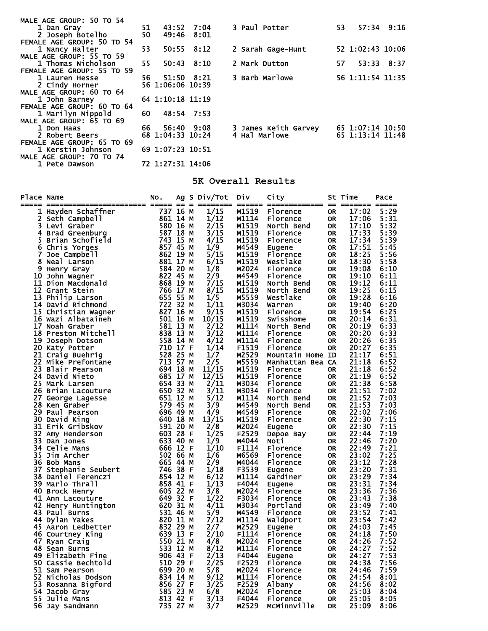| MALE AGE GROUP: 50 TO 54   |      |                  |                |                                          |  |
|----------------------------|------|------------------|----------------|------------------------------------------|--|
| 1 Dan Grav                 | 51.  | 43:52 7:04       |                | 3 Paul Potter<br>53<br>57:34 9:16        |  |
| 2 Joseph Botelho           | 50   | 49:46            | 8:01           |                                          |  |
| FEMALE AGE GROUP: 50 TO 54 |      |                  |                |                                          |  |
| 1 Nancy Halter             | 53   |                  | $50:55$ $8:12$ | 52 1:02:43 10:06<br>2 Sarah Gage-Hunt    |  |
| MALE AGE GROUP: 55 TO 59   |      |                  |                |                                          |  |
| 1 Thomas Nicholson         | 55   |                  | $50:43$ $8:10$ | 2 Mark Dutton<br>57<br>53:33 8:37        |  |
| FEMALE AGE GROUP: 55 TO 59 |      |                  |                |                                          |  |
| 1 Lauren Hesse             | 56 — | 51:50 8:21       |                | 3 Barb Marlowe<br>56 1:11:54 11:35       |  |
| 2 Cindy Horner             |      | 56 1:06:06 10:39 |                |                                          |  |
| MALE AGE GROUP: 60 TO 64   |      |                  |                |                                          |  |
| 1 John Barney              |      | 64 1:10:18 11:19 |                |                                          |  |
| FEMALE AGE GROUP: 60 TO 64 |      |                  |                |                                          |  |
| 1 Marilyn Nippold          | 60   | 48:54 7:53       |                |                                          |  |
| MALE AGE GROUP: 65 TO 69   |      |                  |                |                                          |  |
| 1 Don Haas                 | 66   | 56:40 9:08       |                | 3 James Keith Garvey<br>65 1:07:14 10:50 |  |
| 2 Robert Beers             |      | 68 1:04:33 10:24 |                | 65 1:13:14 11:48<br>4 Hal Marlowe        |  |
| FEMALE AGE GROUP: 65 TO 69 |      |                  |                |                                          |  |
| 1 Kerstin Johnson          |      | 69 1:07:23 10:51 |                |                                          |  |
| MALE AGE GROUP: 70 TO 74   |      |                  |                |                                          |  |
| 1 Pete Dawson              |      | 72 1:27:31 14:06 |                |                                          |  |

## **5K Overall Results**

| Place Name | ace Name<br>In Hayden Schaffner<br>In Hayden Schaffner<br>2 Seth Campbell<br>4 Brad Greenburg<br>4 Seth is Yorges<br>4 Sethis Yorges<br>6 Chris Yorges<br>8 Mall Larson<br>8 Meal Larson<br>8 Meal Larson<br>8 Meal Larson<br>8 Meal Larson<br>11 Dion M | NO.      |  | Ag S Div/Tot | Div            | City                   |                        | St Time        | Pace         |
|------------|----------------------------------------------------------------------------------------------------------------------------------------------------------------------------------------------------------------------------------------------------------|----------|--|--------------|----------------|------------------------|------------------------|----------------|--------------|
|            |                                                                                                                                                                                                                                                          |          |  | 1/15         | M1519          | Florence               | 0R.                    | 17:02          | 5:29         |
|            |                                                                                                                                                                                                                                                          |          |  | 1/12         | M1114          | Florence               | 0R                     | 17:06          | 5:31         |
|            |                                                                                                                                                                                                                                                          |          |  | 2/15         | M1519          | North Bend             | <b>OR</b>              | 17:10          | 5:32         |
|            |                                                                                                                                                                                                                                                          |          |  | 3/15         | M1519          | Florence               | OR.                    | 17:33          | 5:39         |
|            |                                                                                                                                                                                                                                                          |          |  | 4/15         | M1519          | Florence               | <b>OR</b>              | 17:34          | 5:39         |
|            |                                                                                                                                                                                                                                                          |          |  | 1/9          | M4549          | Eugene                 | <b>OR</b>              | 17:51          | 5:45         |
|            |                                                                                                                                                                                                                                                          |          |  | 5/15         | M1519          | Florence               | <b>OR</b>              | 18:25          | 5:56         |
|            |                                                                                                                                                                                                                                                          |          |  | 6/15         | M1519          | Westlake               | <b>OR</b>              | 18:30          | 5:58         |
|            |                                                                                                                                                                                                                                                          |          |  | 1/8          | M2024          | Florence               | <b>OR</b>              | 19:08          | 6:10         |
|            |                                                                                                                                                                                                                                                          |          |  | 2/9          | M4549          | Florence               | <b>OR</b>              | 19:10          | 6:11         |
|            |                                                                                                                                                                                                                                                          |          |  | 7/15         | M1519          | North Bend             | <b>OR</b>              | 19:12          | 6:11         |
|            |                                                                                                                                                                                                                                                          |          |  | 8/15         | M1519          | North Bend             | <b>OR</b>              | 19:25          | 6:15         |
|            |                                                                                                                                                                                                                                                          |          |  | 1/5          | M5559          | Westlake               | <b>OR</b>              | 19:28          | 6:16         |
|            |                                                                                                                                                                                                                                                          |          |  | 1/11         | M3034          | Warren                 | <b>OR</b>              | 19:40          | 6:20         |
|            |                                                                                                                                                                                                                                                          |          |  | 9/15         | M1519          | Florence               | <b>OR</b>              | 19:54          | 6:25         |
|            |                                                                                                                                                                                                                                                          |          |  | 10/15        | M1519          | Swisshome              | <b>OR</b>              | 20:14          | 6:31         |
|            |                                                                                                                                                                                                                                                          |          |  | 2/12         | M1114          | North Bend             | <b>OR</b>              | 20:19          | 6:33         |
|            |                                                                                                                                                                                                                                                          |          |  | 3/12         | M1114          | Florence               | <b>OR</b>              | 20:20          | 6:33         |
|            |                                                                                                                                                                                                                                                          |          |  | 4/12         | M1114          | Florence               | <b>OR</b>              | 20:26          | 6:35         |
|            |                                                                                                                                                                                                                                                          |          |  | 1/14         | F1519          | <b>Florence</b>        | <b>OR</b>              | 20:27          | 6:35         |
|            |                                                                                                                                                                                                                                                          |          |  | 1/7          | M2529          | Mountain Home ID       |                        | 21:17          | 6:51         |
|            |                                                                                                                                                                                                                                                          |          |  | 2/5          | M5559          | Manhattan Bea CA       |                        | 21:18          | 6:52         |
|            |                                                                                                                                                                                                                                                          |          |  | 11/15        | M1519          | Florence               | 0R                     | 21:18          | 6:52         |
|            |                                                                                                                                                                                                                                                          |          |  | 12/15        | M1519          | Florence               | <b>OR</b>              | 21:19          | 6:52         |
|            |                                                                                                                                                                                                                                                          |          |  | 2/11<br>3/11 | M3034<br>M3034 | Florence               | <b>OR</b>              | 21:38<br>21:51 | 6:58<br>7:02 |
|            |                                                                                                                                                                                                                                                          |          |  | 5/12         | M1114          | Florence<br>North Bend | <b>OR</b><br><b>OR</b> | 21:52          | 7:03         |
|            |                                                                                                                                                                                                                                                          |          |  | 3/9          | M4549          | North Bend             | <b>OR</b>              | 21:53          | 7:03         |
|            |                                                                                                                                                                                                                                                          |          |  | 4/9          | M4549          | Florence               | <b>OR</b>              | 22:02          | 7:06         |
|            |                                                                                                                                                                                                                                                          |          |  | 13/15        | M1519          | Florence               | <b>OR</b>              | 22:30          | 7:15         |
|            |                                                                                                                                                                                                                                                          |          |  | 2/8          | M2024          | Eugene                 | <b>OR</b>              | 22:30          | 7:15         |
|            |                                                                                                                                                                                                                                                          |          |  | 1/25         | F2529          | Depoe Bay              | <b>OR</b>              | 22:44          | 7:19         |
|            |                                                                                                                                                                                                                                                          |          |  | 1/9          | M4044          | Noti                   | <b>OR</b>              | 22:46          | 7:20         |
|            |                                                                                                                                                                                                                                                          |          |  | 1/10         | F1114          | Florence               | <b>OR</b>              | 22:49          | 7:21         |
|            |                                                                                                                                                                                                                                                          |          |  | 1/6          | M6569          | Florence               | <b>OR</b>              | 23:02          | 7:25         |
|            |                                                                                                                                                                                                                                                          |          |  | 2/9          | M4044          | Florence               | <b>OR</b>              | 23:12          | 7:28         |
|            |                                                                                                                                                                                                                                                          |          |  | 1/18         | F3539          | Eugene                 | <b>OR</b>              | 23:20          | 7:31         |
|            |                                                                                                                                                                                                                                                          |          |  | 6/12         | M1114          | Gardiner               | <b>OR</b>              | 23:29          | 7:34         |
|            |                                                                                                                                                                                                                                                          |          |  | 1/13         | F4044          | Eugene                 | <b>OR</b>              | 23:31          | 7:34         |
|            |                                                                                                                                                                                                                                                          |          |  | 3/8          | M2024          | Florence               | <b>OR</b>              | 23:36          | 7:36         |
|            |                                                                                                                                                                                                                                                          |          |  | 1/22         | F3034          | Florence               | <b>OR</b>              | 23:43          | 7:38         |
|            |                                                                                                                                                                                                                                                          |          |  | 4/11         | M3034          | Portland               | <b>OR</b>              | 23:49          | 7:40         |
|            |                                                                                                                                                                                                                                                          |          |  | 5/9          | M4549          | <b>Florence</b>        | <b>OR</b>              | 23:52          | 7:41         |
|            |                                                                                                                                                                                                                                                          |          |  | 7/12         | M1114          | Waldport               | 0R                     | 23:54          | 7:42         |
|            |                                                                                                                                                                                                                                                          |          |  | 2/7          | M2529          | Eugene                 | 0R                     | 24:03          | 7:45         |
|            |                                                                                                                                                                                                                                                          |          |  | 2/10         | F1114          | Florence               | OR.                    | 24:18          | 7:50         |
|            |                                                                                                                                                                                                                                                          |          |  | 4/8          | M2024          | Florence               | <b>OR</b>              | 24:26          | 7:52         |
|            | 533 12 M<br>48 Sean Burns                                                                                                                                                                                                                                |          |  | 8/12         | M1114          | Florence               | <b>OR</b>              | 24:27          | 7:52         |
|            | 49 Elizabeth Fine                                                                                                                                                                                                                                        | 906 43 F |  | 2/13         | F4044          | Eugene                 | OR.                    | 24:27          | 7:53         |
|            | 50 Cassie Bechtold                                                                                                                                                                                                                                       | 510 29 F |  | 2/25         | F2529          | Florence               | 0R                     | 24:38          | 7:56         |
|            | 51 Sam Pearson                                                                                                                                                                                                                                           | 699 20 M |  | 5/8          | M2024          | Florence               | 0R                     | 24:46          | 7:59         |
|            | 52 Nicholas Dodson                                                                                                                                                                                                                                       | 834 14 M |  | 9/12         | M1114          | Florence               | 0R.                    | 24:54          | 8:01         |
|            | 53 Rosanna Bigford                                                                                                                                                                                                                                       | 856 27 F |  | 3/25         | F2529          | Albany                 | 0R                     | 24:56          | 8:02         |
|            | 54 Jacob Gray                                                                                                                                                                                                                                            | 585 23 M |  | 6/8          | M2024          | Florence               | 0R.                    | 25:03          | 8:04         |
|            | 55 Julie Mans                                                                                                                                                                                                                                            | 813 42 F |  | 3/13         | F4044          | Florence               | 0R                     | 25:05          | 8:05         |
|            | 56 Jay Sandmann                                                                                                                                                                                                                                          | 735 27 M |  | 3/7          | M2529          | McMinnville            | OR                     | 25:09          | 8:06         |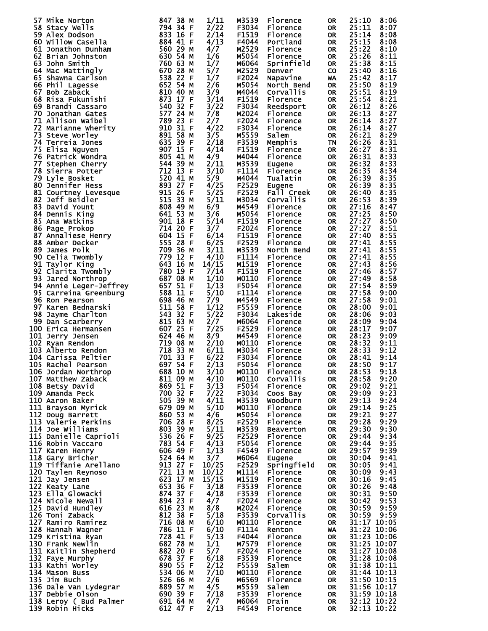| 57 Mike Norton                                                                                                                                                                                                                                                 | 847 38 M                     | 1/11  | M3539 | Florence         | 0R        | 25:10       | 8:06        |
|----------------------------------------------------------------------------------------------------------------------------------------------------------------------------------------------------------------------------------------------------------------|------------------------------|-------|-------|------------------|-----------|-------------|-------------|
| 58 Stacy Wells                                                                                                                                                                                                                                                 | 794 34 F                     | 2/22  | F3034 | Florence         | OR        | 25:11       | 8:07        |
| 59 Alex Dodson                                                                                                                                                                                                                                                 |                              | 2/14  | F1519 | Florence         | OR        | 25:14       | 8:08        |
| 58 Stacy Well Is and Market and 884 44 FF<br>194 Stacy Mindom Dunham<br>60 Willow Case IIIa<br>10 Jonathon Dunham<br>62 Brian Johnston<br>64 Mac Mattingly<br>66 Phil Lagesse<br>66 Phil Lagesse<br>66 Phil Lagesse<br>66 Phil Lagesse<br>66 Phil Lagesse<br>6 | 833 16 F<br>884 41 F         |       |       |                  |           |             |             |
| 60 Willow Casella                                                                                                                                                                                                                                              |                              | 4/13  | F4044 | Portland         | OR.       | 25:15       | 8:08        |
|                                                                                                                                                                                                                                                                |                              | 4/7   | M2529 | Florence         | <b>OR</b> | 25:22       | 8:10        |
|                                                                                                                                                                                                                                                                |                              | 1/6   | M5054 | Florence         | <b>OR</b> | 25:26       | 8:11        |
|                                                                                                                                                                                                                                                                |                              |       |       |                  |           |             |             |
|                                                                                                                                                                                                                                                                |                              | 1/7   | M6064 | Sprinfield       | <b>OR</b> | 25:38       | 8:15        |
|                                                                                                                                                                                                                                                                |                              | 5/7   | M2529 | Denver           | <b>CO</b> | 25:40       | 8:16        |
|                                                                                                                                                                                                                                                                |                              |       |       |                  |           |             | 8:17        |
|                                                                                                                                                                                                                                                                |                              | 1/7   | F2024 | Napavine         | WA        | 25:42       |             |
|                                                                                                                                                                                                                                                                |                              | 2/6   | M5054 | North Bend       | <b>OR</b> | 25:50       | 8:19        |
|                                                                                                                                                                                                                                                                |                              | 3/9   | M4044 | Corvallis        | <b>OR</b> | 25:51       | 8:19        |
|                                                                                                                                                                                                                                                                |                              |       |       |                  |           |             |             |
|                                                                                                                                                                                                                                                                |                              | 3/14  | F1519 | Florence         | OR        | 25:54       | 8:21        |
|                                                                                                                                                                                                                                                                |                              | 3/22  | F3034 | Reedsport        | OR        | 26:12       | 8:26        |
|                                                                                                                                                                                                                                                                |                              | 7/8   | M2024 | <b>Florence</b>  | OR        | 26:13       | 8:27        |
|                                                                                                                                                                                                                                                                |                              |       |       |                  |           |             |             |
|                                                                                                                                                                                                                                                                |                              | 2/7   | F2024 | Florence         | OR        | 26:14       | 8:27        |
|                                                                                                                                                                                                                                                                |                              | 4/22  | F3034 | Florence         | 0R        | 26:14       | 8:27        |
|                                                                                                                                                                                                                                                                |                              | 3/5   | M5559 | Salem            | OR        | 26:21       | 8:29        |
|                                                                                                                                                                                                                                                                |                              |       |       |                  |           |             |             |
|                                                                                                                                                                                                                                                                |                              | 2/18  | F3539 | Memphis          | <b>TN</b> | 26:26       | 8:31        |
|                                                                                                                                                                                                                                                                |                              | 4/14  | F1519 | Florence         | <b>OR</b> | 26:27       | 8:31        |
|                                                                                                                                                                                                                                                                |                              | 4/9   | M4044 | Florence         | OR        | 26:31       | 8:33        |
|                                                                                                                                                                                                                                                                |                              |       |       |                  |           |             |             |
|                                                                                                                                                                                                                                                                |                              | 2/11  | M3539 | Eugene           | OR        | 26:32       | 8:33        |
|                                                                                                                                                                                                                                                                |                              | 3/10  | F1114 | Florence         | OR        | 26:35       | 8:34        |
|                                                                                                                                                                                                                                                                |                              | 5/9   | M4044 | Tualatin         | <b>OR</b> | 26:39       | 8:35        |
|                                                                                                                                                                                                                                                                |                              |       |       |                  |           |             |             |
|                                                                                                                                                                                                                                                                |                              | 4/25  | F2529 | Eugene           | OR        | 26:39       | 8:35        |
|                                                                                                                                                                                                                                                                |                              | 5/25  | F2529 | Fall Creek       | <b>OR</b> | 26:40       | 8:35        |
|                                                                                                                                                                                                                                                                |                              |       |       |                  |           |             |             |
|                                                                                                                                                                                                                                                                |                              | 5/11  | M3034 | Corvallis        | OR        | 26:53       | 8:39        |
|                                                                                                                                                                                                                                                                |                              | 6/9   | M4549 | Florence         | OR        | 27:16       | 8:47        |
|                                                                                                                                                                                                                                                                |                              | 3/6   | M5054 | Florence         | OR        | 27:25       | 8:50        |
|                                                                                                                                                                                                                                                                |                              |       |       |                  |           |             |             |
|                                                                                                                                                                                                                                                                |                              | 5/14  | F1519 | Florence         | OR        | 27:27       | 8:50        |
|                                                                                                                                                                                                                                                                |                              | 3/7   | F2024 | Florence         | OR.       | 27:27       | 8:51        |
|                                                                                                                                                                                                                                                                |                              | 6/14  | F1519 | Florence         | OR        | 27:40       | 8:55        |
|                                                                                                                                                                                                                                                                |                              |       |       |                  |           |             |             |
|                                                                                                                                                                                                                                                                |                              | 6/25  | F2529 | Florence         | OR        | 27:41       | 8:55        |
|                                                                                                                                                                                                                                                                |                              | 3/11  | M3539 | North Bend       | OR        | 27:41       | 8:55        |
|                                                                                                                                                                                                                                                                |                              | 4/10  | F1114 | Florence         |           | 27:41       | 8:55        |
|                                                                                                                                                                                                                                                                |                              |       |       |                  | OR        |             |             |
|                                                                                                                                                                                                                                                                |                              | 14/15 | M1519 | Florence         | OR        | 27:43       | 8:56        |
|                                                                                                                                                                                                                                                                |                              | 7/14  | F1519 | Florence         | OR        | 27:46       | 8:57        |
|                                                                                                                                                                                                                                                                |                              | 1/10  | M0110 |                  |           |             |             |
|                                                                                                                                                                                                                                                                |                              |       |       | Florence         | OR        | 27:49       | 8:58        |
|                                                                                                                                                                                                                                                                |                              | 1/13  | F5054 | Florence         | OR        | 27:54       | 8:59        |
|                                                                                                                                                                                                                                                                |                              | 5/10  | F1114 | Florence         | OR        | 27:58       | 9:00        |
|                                                                                                                                                                                                                                                                |                              |       |       |                  |           |             |             |
|                                                                                                                                                                                                                                                                |                              | 7/9   | M4549 | Florence         | OR        | 27:58       | 9:01        |
|                                                                                                                                                                                                                                                                |                              | 1/12  | F5559 | Florence         | OR        | 28:00       | 9:01        |
|                                                                                                                                                                                                                                                                |                              | 5/22  | F3034 | Lakeside         | OR        | 28:06       | 9:03        |
|                                                                                                                                                                                                                                                                |                              |       |       |                  |           |             |             |
|                                                                                                                                                                                                                                                                |                              | 2/7   | M6064 | Florence         | OR        | 28:09       | 9:04        |
|                                                                                                                                                                                                                                                                |                              | 7/25  | F2529 | Florence         | OR        | 28:17       | 9:07        |
|                                                                                                                                                                                                                                                                |                              | 8/9   | M4549 | Florence         |           | 28:23       | 9:09        |
|                                                                                                                                                                                                                                                                |                              |       |       |                  | OR        |             |             |
|                                                                                                                                                                                                                                                                |                              | 2/10  | M0110 | Florence         | 0R        | 28:32       | 9:11        |
|                                                                                                                                                                                                                                                                |                              | 6/11  | M3034 | <b>Florence</b>  | OR        | 28:33       | 9:12        |
|                                                                                                                                                                                                                                                                |                              | 6/22  |       |                  |           |             | 9:14        |
|                                                                                                                                                                                                                                                                |                              |       | F3034 | Florence         | <b>OR</b> | 28:41       |             |
|                                                                                                                                                                                                                                                                |                              | 2/13  | F5054 | <b>Florence</b>  | <b>OR</b> | 28:50       | 9:17        |
| 106 Jordan Northrop 688 10 M                                                                                                                                                                                                                                   |                              | 3/10  | M0110 | Florence         | <b>OR</b> | 28:53       | 9:18        |
|                                                                                                                                                                                                                                                                |                              | 4/10  |       |                  |           |             |             |
| 107 Matthew Zaback                                                                                                                                                                                                                                             | 811 09 M                     |       | M0110 | Corvallis        | 0R        | 28:58       | 9:20        |
| 108 Betsy David                                                                                                                                                                                                                                                | 869 51 F                     | 3/13  | F5054 | Florence         | OR        | 29:02       | 9:21        |
| 109 Amanda Peck                                                                                                                                                                                                                                                | 700 32 F                     | 7/22  | F3034 | Coos Bay         | OR        | 29:09       | 9:23        |
|                                                                                                                                                                                                                                                                | 505 39 M                     |       |       |                  |           |             |             |
| 110 Aaron Baker                                                                                                                                                                                                                                                |                              | 4/11  | M3539 | Woodburn         | OR.       | 29:13       | 9:24        |
| 111 Brayson Myrick                                                                                                                                                                                                                                             | 679 09 M                     | 5/10  | M0110 | Florence         | OR        | 29:14       | 9:25        |
| 112 Doug Barrett                                                                                                                                                                                                                                               | 860 53 M                     | 4/6   | M5054 | <b>Florence</b>  | OR.       | 29:21       | 9:27        |
|                                                                                                                                                                                                                                                                |                              |       |       |                  |           |             | 9:29        |
| 113 Valerie Perkins                                                                                                                                                                                                                                            | 706 28 F                     | 8/25  | F2529 | Florence         | OR        | 29:28       |             |
| 114 Joe Williams                                                                                                                                                                                                                                               | $60339$ M                    | 5/11  | M3539 | <b>Beaverton</b> | OR        | 29:30       | 9:30        |
| 115 Danielle Caprioli                                                                                                                                                                                                                                          | 536 26 F<br>783 54 F         | 9/25  | F2529 | Florence         | OR        | 29:44       | 9:34        |
| 116 Robin Vaccaro                                                                                                                                                                                                                                              |                              | 4/13  | F5054 | <b>Florence</b>  | 0R        | 29:44       | 9:35        |
|                                                                                                                                                                                                                                                                |                              |       |       |                  |           |             |             |
| 117 Karen Henry                                                                                                                                                                                                                                                | 606 49 F<br>524 64 M         | 1/13  | F4549 | <b>Florence</b>  | OR        | 29:57       | 9:39        |
| 118 Gary Bricher                                                                                                                                                                                                                                               |                              | 3/7   | M6064 | Eugene           | 0R        | 30:04       | 9:41        |
| 119 Tiffanie Arellano                                                                                                                                                                                                                                          |                              | 10/25 | F2529 |                  |           | 30:05       | 9:41        |
|                                                                                                                                                                                                                                                                |                              |       |       | Springfield      | OR        |             |             |
| 120 Taylen Reynoso                                                                                                                                                                                                                                             | 913 27 F<br>721 1 <u>3</u> M | 10/12 | M1114 | <b>Florence</b>  | 0R        | 30:09       | 9:43        |
| 121 Jay Jensen                                                                                                                                                                                                                                                 | 623 17 M                     | 15/15 | M1519 | Florence         | OR        | 30:16       | 9:45        |
|                                                                                                                                                                                                                                                                | 653 36 F                     |       |       |                  |           |             |             |
| 122 Keaty Lane                                                                                                                                                                                                                                                 |                              | 3/18  | F3539 | Florence         | OR        | 30:26       | 9:48        |
| 123 Ella Glowacki                                                                                                                                                                                                                                              | 874 37 F                     | 4/18  | F3539 | Florence         | OR        | 30:31       | 9:50        |
| 124 Nicole Newall                                                                                                                                                                                                                                              | 894 23 F                     | 4/7   | F2024 | Florence         | OR.       | 30:42       | 9:53        |
|                                                                                                                                                                                                                                                                |                              |       |       |                  |           |             |             |
| 125 David Hundley                                                                                                                                                                                                                                              | 616 23 M                     | 8/8   | M2024 | <b>Florence</b>  | OR        | 30:59       | 9:59        |
| 126 Toni Zaback                                                                                                                                                                                                                                                | 812 38 F                     | 5/18  | F3539 | <b>Corvallis</b> | OR        | 30:59       | 9:59        |
| 127 Ramiro Ramirez                                                                                                                                                                                                                                             | 716 08 M                     | 6/10  | M0110 | <b>Florence</b>  | OR        |             | 31:17 10:05 |
|                                                                                                                                                                                                                                                                | $786$ $11$ F                 |       |       |                  |           |             | 31:22 10:06 |
| 128 Hannah Wagner                                                                                                                                                                                                                                              |                              | 6/10  | F1114 | Renton           | WA        |             |             |
| 129 Kristina Ryan                                                                                                                                                                                                                                              | $728$ 41 F                   | 5/13  | F4044 | Florence         | OR        |             | 31:23 10:06 |
| 130 Frank Newlin                                                                                                                                                                                                                                               | 682 78 M                     | 1/1   | M7579 | <b>Florence</b>  | OR        |             | 31:25 10:07 |
|                                                                                                                                                                                                                                                                |                              |       |       |                  |           |             |             |
| 131 Kaitlin Shepherd                                                                                                                                                                                                                                           | 882 20 F                     | 5/7   | F2024 | Florence         | OR        |             | 31:27 10:08 |
| 132 Faye Murphy                                                                                                                                                                                                                                                | 678 37 F                     | 6/18  | F3539 | Florence         | OR        |             | 31:28 10:08 |
| 133 Kathi Worley                                                                                                                                                                                                                                               | 890 55 F                     | 2/12  | F5559 | Salem            | OR        |             | 31:38 10:11 |
|                                                                                                                                                                                                                                                                |                              |       |       |                  |           |             |             |
| 134 Mason Buss                                                                                                                                                                                                                                                 | 534 06 M                     | 7/10  | M0110 | <b>Florence</b>  | OR.       | 31:44 10:13 |             |
| 135 Jim Buch                                                                                                                                                                                                                                                   |                              | 2/6   | M6569 | Florence         | OR        |             | 31:50 10:15 |
|                                                                                                                                                                                                                                                                | 526 66 м<br>889 57 м         |       |       |                  |           |             | 31:56 10:17 |
| 136 Dale Van Lydegrar                                                                                                                                                                                                                                          |                              | 4/5   | M5559 | Salem            | OR        |             |             |
| 137 Debbie Olson                                                                                                                                                                                                                                               |                              | 7/18  | F3539 | Florence         | OR        |             | 31:59 10:18 |
| 138 Leroy ( Bud Palmer                                                                                                                                                                                                                                         | 690 39 F<br>691 64 M         | 4/7   | M6064 | Drain            | OR.       |             | 32:12 10:22 |
| 139 Robin Hicks                                                                                                                                                                                                                                                | 612 47 F                     | 2/13  | F4549 | Florence         | OR        | 32:13 10:22 |             |
|                                                                                                                                                                                                                                                                |                              |       |       |                  |           |             |             |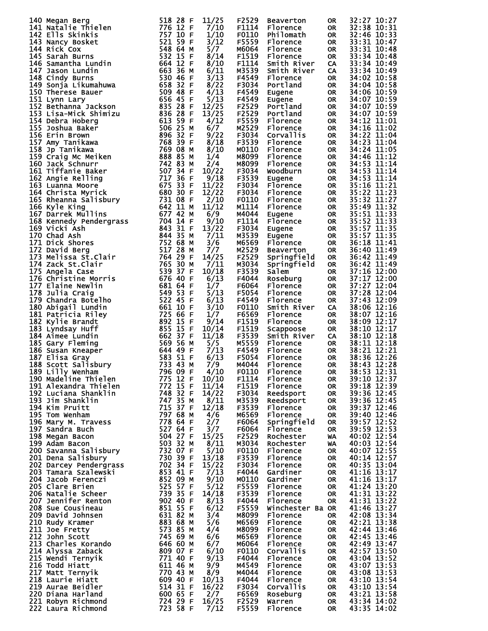| 140 Megan Berg<br>141 Natalie Thielen<br>142 Ells Skinkis<br>142 Ells Skinkis<br>142 Ells Skinkis<br>142 Ells Skinkis<br>144 Rick Cox<br>152 159 64 Paraly 1532 159 16<br>144 Rick Cox<br>144 Rick Cox<br>144 Samantha Lundin<br>143 Gianna Likumahuwa<br>143 Gian | 11/25                                                                                             | F2529                | <b>Beaverton</b> | 0R        | 32:27 10:27 |
|--------------------------------------------------------------------------------------------------------------------------------------------------------------------------------------------------------------------------------------------------------------------|---------------------------------------------------------------------------------------------------|----------------------|------------------|-----------|-------------|
|                                                                                                                                                                                                                                                                    |                                                                                                   | F1114<br>7/10        | Florence         | <b>OR</b> | 32:38 10:31 |
|                                                                                                                                                                                                                                                                    |                                                                                                   |                      |                  |           |             |
|                                                                                                                                                                                                                                                                    |                                                                                                   | F0110<br>1/10        | Philomath        | <b>OR</b> | 32:46 10:33 |
|                                                                                                                                                                                                                                                                    |                                                                                                   | 3/12<br>F5559        | Florence         | <b>OR</b> | 33:31 10:47 |
|                                                                                                                                                                                                                                                                    |                                                                                                   |                      |                  |           |             |
|                                                                                                                                                                                                                                                                    |                                                                                                   | M6064<br>5/7         | Florence         | <b>OR</b> | 33:31 10:48 |
|                                                                                                                                                                                                                                                                    |                                                                                                   | 8/14<br>F1519        | Florence         | <b>OR</b> | 33:34 10:48 |
|                                                                                                                                                                                                                                                                    |                                                                                                   |                      |                  |           |             |
|                                                                                                                                                                                                                                                                    |                                                                                                   | F1114<br>8/10        | Smith River      | CA        | 33:34 10:49 |
|                                                                                                                                                                                                                                                                    |                                                                                                   | M3539<br>6/11        | Smith River      | <b>CA</b> | 33:34 10:49 |
|                                                                                                                                                                                                                                                                    |                                                                                                   |                      |                  |           |             |
|                                                                                                                                                                                                                                                                    |                                                                                                   | F4549<br>3/13        | Florence         | <b>OR</b> | 34:02 10:58 |
|                                                                                                                                                                                                                                                                    |                                                                                                   | 8/22<br>F3034        | Portland         | <b>OR</b> | 34:04 10:58 |
|                                                                                                                                                                                                                                                                    |                                                                                                   |                      |                  |           |             |
|                                                                                                                                                                                                                                                                    |                                                                                                   | 4/13<br>F4549        | Eugene           | <b>OR</b> | 34:06 10:59 |
|                                                                                                                                                                                                                                                                    |                                                                                                   |                      |                  |           |             |
|                                                                                                                                                                                                                                                                    |                                                                                                   | 5/13<br>F4549        | Eugene           | OR        | 34:07 10:59 |
|                                                                                                                                                                                                                                                                    | 12/25                                                                                             | F2529                | Portland         | <b>OR</b> | 34:07 10:59 |
|                                                                                                                                                                                                                                                                    |                                                                                                   |                      |                  |           |             |
|                                                                                                                                                                                                                                                                    | 13/25                                                                                             | F2529                | Portland         | <b>OR</b> | 34:07 10:59 |
|                                                                                                                                                                                                                                                                    |                                                                                                   | F5559<br>4/12        | Florence         | <b>OR</b> | 34:12 11:01 |
|                                                                                                                                                                                                                                                                    |                                                                                                   |                      |                  |           |             |
|                                                                                                                                                                                                                                                                    |                                                                                                   | 6/7<br>M2529         | Florence         | <b>OR</b> | 34:16 11:02 |
|                                                                                                                                                                                                                                                                    |                                                                                                   | F3034<br>9/22        | <b>Corvallis</b> | <b>OR</b> | 34:22 11:04 |
|                                                                                                                                                                                                                                                                    |                                                                                                   |                      |                  |           |             |
|                                                                                                                                                                                                                                                                    |                                                                                                   | 8/18<br>F3539        | Florence         | <b>OR</b> | 34:23 11:04 |
|                                                                                                                                                                                                                                                                    |                                                                                                   | M0110<br>8/10        | Florence         | <b>OR</b> | 34:24 11:05 |
|                                                                                                                                                                                                                                                                    |                                                                                                   |                      |                  |           |             |
|                                                                                                                                                                                                                                                                    | 1/4                                                                                               | M8099                | Florence         | <b>OR</b> | 34:46 11:12 |
|                                                                                                                                                                                                                                                                    | 2/4                                                                                               | M8099                | Florence         | <b>OR</b> | 34:53 11:14 |
|                                                                                                                                                                                                                                                                    |                                                                                                   |                      |                  |           |             |
|                                                                                                                                                                                                                                                                    | 10/22                                                                                             | F3034                | Woodburn         | <b>OR</b> | 34:53 11:14 |
|                                                                                                                                                                                                                                                                    |                                                                                                   | F3539<br>9/18        | Eugene           | <b>OR</b> | 34:53 11:14 |
|                                                                                                                                                                                                                                                                    |                                                                                                   |                      |                  |           |             |
|                                                                                                                                                                                                                                                                    | 11/22                                                                                             | F3034                | Florence         | <b>OR</b> | 35:16 11:21 |
|                                                                                                                                                                                                                                                                    | 12/22                                                                                             | F3034                | Florence         | <b>OR</b> | 35:22 11:23 |
|                                                                                                                                                                                                                                                                    |                                                                                                   |                      |                  |           |             |
|                                                                                                                                                                                                                                                                    |                                                                                                   | 2/10<br>F0110        | Florence         | <b>OR</b> | 35:32 11:27 |
|                                                                                                                                                                                                                                                                    | 11/12                                                                                             | M1114                | Florence         | <b>OR</b> | 35:49 11:32 |
|                                                                                                                                                                                                                                                                    |                                                                                                   |                      |                  |           |             |
|                                                                                                                                                                                                                                                                    | 6/9                                                                                               | M4044                | Eugene           | <b>OR</b> | 35:51 11:33 |
|                                                                                                                                                                                                                                                                    |                                                                                                   | 9/10<br>F1114        | Florence         | <b>OR</b> | 35:52 11:33 |
|                                                                                                                                                                                                                                                                    |                                                                                                   |                      |                  |           |             |
|                                                                                                                                                                                                                                                                    | 13/22                                                                                             | F3034                | Eugene           | <b>OR</b> | 35:57 11:35 |
|                                                                                                                                                                                                                                                                    |                                                                                                   | 7/11<br>M3539        | Eugene           | OR        | 35:57 11:35 |
|                                                                                                                                                                                                                                                                    |                                                                                                   |                      |                  |           |             |
|                                                                                                                                                                                                                                                                    | 3/6                                                                                               | M6569                | Florence         | <b>OR</b> | 36:18 11:41 |
|                                                                                                                                                                                                                                                                    | 7/7                                                                                               | M2529                |                  | <b>OR</b> | 36:40 11:49 |
|                                                                                                                                                                                                                                                                    |                                                                                                   |                      | Beaverton        |           |             |
|                                                                                                                                                                                                                                                                    | 14/25                                                                                             | F2529                | Springfield      | <b>OR</b> | 36:42 11:49 |
|                                                                                                                                                                                                                                                                    |                                                                                                   |                      |                  |           |             |
|                                                                                                                                                                                                                                                                    |                                                                                                   | 7/11<br>M3034        | Springfield      | OR        | 36:42 11:49 |
|                                                                                                                                                                                                                                                                    | 10/18                                                                                             | F3539                | Salem            | OR        | 37:16 12:00 |
|                                                                                                                                                                                                                                                                    |                                                                                                   |                      |                  |           |             |
|                                                                                                                                                                                                                                                                    |                                                                                                   | F4044<br>6/13        | Roseburg         | <b>OR</b> | 37:17 12:00 |
|                                                                                                                                                                                                                                                                    | 1/7                                                                                               | F6064                | Florence         | <b>OR</b> | 37:27 12:04 |
|                                                                                                                                                                                                                                                                    |                                                                                                   |                      |                  |           |             |
|                                                                                                                                                                                                                                                                    |                                                                                                   | 5/13<br>F5054        | Florence         | <b>OR</b> | 37:28 12:04 |
|                                                                                                                                                                                                                                                                    |                                                                                                   | F4549<br>6/13        | Florence         | <b>OR</b> | 37:43 12:09 |
|                                                                                                                                                                                                                                                                    |                                                                                                   |                      |                  |           |             |
|                                                                                                                                                                                                                                                                    |                                                                                                   | F0110<br>3/10        | Smith River      | CA        | 38:06 12:16 |
|                                                                                                                                                                                                                                                                    | 1/7                                                                                               | F6569                | Florence         | <b>OR</b> | 38:07 12:16 |
|                                                                                                                                                                                                                                                                    |                                                                                                   |                      |                  |           |             |
|                                                                                                                                                                                                                                                                    |                                                                                                   | 9/14<br>F1519        | Florence         | <b>OR</b> | 38:09 12:17 |
|                                                                                                                                                                                                                                                                    | 10/14                                                                                             | F1519                | Scappoose        | <b>OR</b> | 38:10 12:17 |
|                                                                                                                                                                                                                                                                    |                                                                                                   |                      |                  |           |             |
|                                                                                                                                                                                                                                                                    | 11/18                                                                                             | F3539                | Smith River      | CA        | 38:10 12:18 |
|                                                                                                                                                                                                                                                                    |                                                                                                   | 5/5<br>M5559         | Florence         | <b>OR</b> | 38:11 12:18 |
|                                                                                                                                                                                                                                                                    |                                                                                                   |                      |                  |           |             |
|                                                                                                                                                                                                                                                                    |                                                                                                   | 7/13<br>F4549        | Florence         | OR        | 38:21 12:21 |
|                                                                                                                                                                                                                                                                    |                                                                                                   | 6/13<br>F5054        | Florence         | <b>OR</b> | 38:36 12:26 |
|                                                                                                                                                                                                                                                                    |                                                                                                   |                      |                  |           |             |
|                                                                                                                                                                                                                                                                    | 7/9                                                                                               | M4044                | <b>Florence</b>  | <b>OR</b> | 38:43 12:28 |
|                                                                                                                                                                                                                                                                    | 4/10<br><b>296 09 F</b>                                                                           | F0110                | Florence         | <b>OR</b> | 38:53 12:31 |
|                                                                                                                                                                                                                                                                    |                                                                                                   |                      |                  |           |             |
| 189 Lilly Wenham<br>190 Madeline Thielen                                                                                                                                                                                                                           | 775 12 F<br>10/10                                                                                 | F1114                | Florence         | 0R        | 39:10 12:37 |
| 191 Alexandra Thielen                                                                                                                                                                                                                                              | 772 15 F<br>11/14                                                                                 | F1519                | Florence         | <b>OR</b> | 39:18 12:39 |
|                                                                                                                                                                                                                                                                    |                                                                                                   |                      |                  |           |             |
| 192 Luciana Shanklin                                                                                                                                                                                                                                               | $748 \overline{32}$ F<br>14/22                                                                    | F3034                | Reedsport        | <b>OR</b> | 39:36 12:45 |
| 193 Jim Shanklin                                                                                                                                                                                                                                                   | 747 35 M                                                                                          | M3539<br>8/11        | Reedsport        | <b>OR</b> | 39:36 12:45 |
|                                                                                                                                                                                                                                                                    |                                                                                                   |                      |                  |           |             |
| 194 Kim Pruitt                                                                                                                                                                                                                                                     | 715 37 F<br>12/18                                                                                 | F3539                | Florence         | <b>OR</b> | 39:37 12:46 |
| 195 Tom Wenham                                                                                                                                                                                                                                                     | 797 68 M<br>4/6                                                                                   | M6569                | Florence         | <b>OR</b> | 39:40 12:46 |
|                                                                                                                                                                                                                                                                    | 778 64 F                                                                                          |                      |                  |           |             |
| 196 Mary M. Travess                                                                                                                                                                                                                                                | 2/7                                                                                               | <b>F6064</b>         | Springfield      | <b>OR</b> | 39:57 12:52 |
| 197 Sandra Buch                                                                                                                                                                                                                                                    | 527 64 F<br>3/7                                                                                   | <b>F6064</b>         | Florence         | <b>OR</b> | 39:59 12:53 |
|                                                                                                                                                                                                                                                                    |                                                                                                   |                      |                  |           |             |
| 198 Megan Bacon                                                                                                                                                                                                                                                    | 15/25                                                                                             | F2529                | Rochester        | WA        | 40:02 12:54 |
| 199 Adam Bacon                                                                                                                                                                                                                                                     |                                                                                                   | M3034<br>8/11        | Rochester        | WA        | 40:03 12:54 |
|                                                                                                                                                                                                                                                                    |                                                                                                   |                      |                  |           |             |
| 200 Savanna Salisbury                                                                                                                                                                                                                                              | <b>504 27 F<br/>503 32 D7 F F<br/>732 07 F F F<br/>730 39 41 F F<br/>702 34 F F F<br/>853 410</b> | 5/10<br><b>F0110</b> | Florence         | 0R        | 40:07 12:55 |
| 201 Dena Salisbury                                                                                                                                                                                                                                                 | 13/18                                                                                             | F3539                | Florence         | <b>OR</b> | 40:14 12:57 |
| 202 Darcey Pendergrass                                                                                                                                                                                                                                             | 15/22                                                                                             | F3034                | Florence         | <b>OR</b> | 40:35 13:04 |
|                                                                                                                                                                                                                                                                    |                                                                                                   |                      |                  |           |             |
| 203 Tamara Szalewski                                                                                                                                                                                                                                               |                                                                                                   | 7/13<br>F4044        | Gardiner         | <b>OR</b> | 41:16 13:17 |
|                                                                                                                                                                                                                                                                    |                                                                                                   |                      |                  |           |             |
| 204 Jacob Ferenczi                                                                                                                                                                                                                                                 | 852 09 M                                                                                          | 9/10<br>M0110        | Gardiner         | <b>OR</b> | 41:16 13:17 |
| 205 Clare Brien                                                                                                                                                                                                                                                    | 525 57 F                                                                                          | 5/12<br>F5559        | Florence         | <b>OR</b> | 41:24 13:20 |
|                                                                                                                                                                                                                                                                    |                                                                                                   |                      |                  |           |             |
| 206 Natalie Scheer                                                                                                                                                                                                                                                 | 739 35 F<br>902 40 F<br>14/18                                                                     | F3539                | Florence         | <b>OR</b> | 41:31 13:22 |
| 207 Jennifer Renton                                                                                                                                                                                                                                                |                                                                                                   | 8/13<br>F4044        | Florence         | <b>OR</b> | 41:31 13:22 |
|                                                                                                                                                                                                                                                                    |                                                                                                   |                      |                  |           |             |
| 208 Sue Cousineau                                                                                                                                                                                                                                                  | 851 55 F                                                                                          | F5559<br>6/12        | Winchester Ba OR |           | 41:46 13:27 |
| 209 David Johnsen                                                                                                                                                                                                                                                  | 631 82 M<br>3/4                                                                                   | M8099                | Florence         | 0R.       | 42:08 13:34 |
|                                                                                                                                                                                                                                                                    |                                                                                                   |                      |                  |           |             |
| 210 Rudy Kramer                                                                                                                                                                                                                                                    | 883 68 M<br>5/6                                                                                   | M6569                | Florence         | OR.       | 42:21 13:38 |
| 211 Joe Fretty                                                                                                                                                                                                                                                     | 573 85 M<br>4/4                                                                                   | M8099                | Florence         | <b>OR</b> | 42:44 13:46 |
|                                                                                                                                                                                                                                                                    |                                                                                                   |                      |                  |           |             |
| 212 John Scott                                                                                                                                                                                                                                                     | 745 69 M<br>6/6                                                                                   | M6569                | Florence         | OR        | 42:45 13:46 |
| 213 Charles Korando                                                                                                                                                                                                                                                | 646 60 M<br>6/7                                                                                   | M6064                | Florence         | <b>OR</b> | 42:49 13:47 |
|                                                                                                                                                                                                                                                                    |                                                                                                   |                      |                  |           |             |
| 214 Alyssa Zaback                                                                                                                                                                                                                                                  | 809 07 F                                                                                          | 6/10<br><b>F0110</b> | Corvallis        | OR        | 42:57 13:50 |
| 215 Wendi Ternyik                                                                                                                                                                                                                                                  | 771 40 F                                                                                          | 9/13<br>F4044        | Florence         | <b>OR</b> | 43:04 13:52 |
|                                                                                                                                                                                                                                                                    |                                                                                                   |                      |                  |           |             |
| 216 Todd Hiatt                                                                                                                                                                                                                                                     | 611 46 M<br>9/9                                                                                   | M4549                | Florence         | <b>OR</b> | 43:07 13:53 |
| 217 Matt Ternyik                                                                                                                                                                                                                                                   | 770 43 M<br>8/9                                                                                   | M4044                | Florence         | <b>OR</b> | 43:08 13:53 |
|                                                                                                                                                                                                                                                                    |                                                                                                   |                      |                  |           |             |
| 218 Laurie Hiatt                                                                                                                                                                                                                                                   | 609 40 F<br>10/13                                                                                 | F4044                | Florence         | OR        | 43:10 13:54 |
| 219 Aurae Beidler                                                                                                                                                                                                                                                  | 514 31 F<br>16/22                                                                                 | F3034                | <b>Corvallis</b> | <b>OR</b> | 43:10 13:54 |
|                                                                                                                                                                                                                                                                    |                                                                                                   |                      |                  |           |             |
| 220 Diana Harland                                                                                                                                                                                                                                                  | 600 65 F<br>2/7                                                                                   | F6569                | Roseburg         | OR        | 43:21 13:58 |
| 221 Robyn Richmond                                                                                                                                                                                                                                                 | 724 29 F<br>16/25                                                                                 | F2529                | Warren           | <b>OR</b> | 43:34 14:02 |
|                                                                                                                                                                                                                                                                    |                                                                                                   |                      |                  |           |             |
| 222 Laura Richmond                                                                                                                                                                                                                                                 | 723 58 F                                                                                          | F5559<br>7/12        | Florence         | <b>OR</b> | 43:35 14:02 |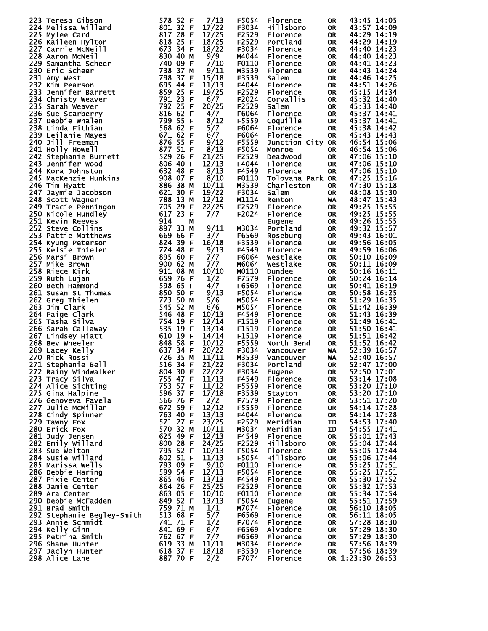| 223 Teresa Gibson                                                                                                                                                                                                                                    | 578 52 F                                     | 7/13  | F5054 | Florence         | <b>OR</b> | 43:45 14:05      |
|------------------------------------------------------------------------------------------------------------------------------------------------------------------------------------------------------------------------------------------------------|----------------------------------------------|-------|-------|------------------|-----------|------------------|
| 224 Melissa Willard                                                                                                                                                                                                                                  | 801 32 F                                     | 17/22 | F3034 | Hillsboro        | <b>OR</b> | 43:57 14:09      |
| 225 Mylee Card                                                                                                                                                                                                                                       | 817 28<br>F                                  | 17/25 | F2529 | Florence         | <b>OR</b> | 44:29 14:19      |
| 226 Kaileen Hylton                                                                                                                                                                                                                                   | 818 25 F<br>673 34 F                         | 18/25 | F2529 | Portland         | <b>OR</b> | 44:29 14:19      |
| 227 Carrie McNeill                                                                                                                                                                                                                                   |                                              | 18/22 | F3034 | Florence         | <b>OR</b> | 44:40 14:23      |
| 228 Aaron McNeil                                                                                                                                                                                                                                     | 830 40 м<br>740 09 F                         | 9/9   | M4044 | Florence         | <b>OR</b> | 44:40 14:23      |
| 229 Samantha Scheer                                                                                                                                                                                                                                  |                                              | 7/10  | F0110 | Florence         | <b>OR</b> | 44:41 14:23      |
| 230 Eric Scheer                                                                                                                                                                                                                                      | 738 37 M<br>798 37 F                         | 9/11  | M3539 | Florence         | <b>OR</b> | 44:43 14:24      |
| 231 Amy West                                                                                                                                                                                                                                         | 798 37 F                                     | 15/18 | F3539 | Salem            | <b>OR</b> | 44:46 14:25      |
| 231 Amy West<br>232 Kim Pearson<br>233 Jennifer Barrett<br>233 Jennifer Barrett<br>235 Sarah Weaver<br>235 Sarah Weaver<br>236 Sue Scarberry<br>236 Sue Scarberry<br>237 Debbie Whalen<br>238 Linda Fithian<br>239 Leilanie Mayes<br>240 Jill Freema |                                              | 11/13 | F4044 | Florence         | <b>OR</b> | 44:51 14:26      |
|                                                                                                                                                                                                                                                      |                                              | 19/25 | F2529 | Florence         | <b>OR</b> | 45:15 14:34      |
|                                                                                                                                                                                                                                                      |                                              | 6/7   | F2024 | Corvallis        | <b>OR</b> | 45:32 14:40      |
|                                                                                                                                                                                                                                                      |                                              | 20/25 | F2529 | Salem            | <b>OR</b> | 45:33 14:40      |
|                                                                                                                                                                                                                                                      |                                              | 4/7   | F6064 | Florence         | <b>OR</b> | 45:37 14:41      |
|                                                                                                                                                                                                                                                      |                                              | 8/12  | F5559 | Coquille         | <b>OR</b> | 45:37 14:41      |
|                                                                                                                                                                                                                                                      |                                              | 5/7   | F6064 | Florence         | <b>OR</b> | 45:38 14:42      |
|                                                                                                                                                                                                                                                      |                                              | 6/7   | F6064 | Florence         | <b>OR</b> | 45:43 14:43      |
|                                                                                                                                                                                                                                                      |                                              | 9/12  | F5559 | Junction City OR |           | 46:54 15:06      |
|                                                                                                                                                                                                                                                      |                                              | 8/13  | F5054 | Monroe           | <b>OR</b> | 46:54 15:06      |
|                                                                                                                                                                                                                                                      |                                              | 21/25 | F2529 | Deadwood         | <b>OR</b> | 47:06 15:10      |
|                                                                                                                                                                                                                                                      |                                              | 12/13 | F4044 | Florence         | <b>OR</b> | 47:06 15:10      |
|                                                                                                                                                                                                                                                      |                                              |       |       |                  |           |                  |
| 244 Kora Johnston                                                                                                                                                                                                                                    | 632 48 F<br>908 O7 F<br>886 38 м             | 8/13  | F4549 | Florence         | <b>OR</b> | 47:06 15:10      |
| 245 MacKenzie Hunkins                                                                                                                                                                                                                                |                                              | 8/10  | F0110 | Tolovana Park OR |           | 47:25 15:16      |
| 246 Tim Hyatt                                                                                                                                                                                                                                        | 886 38 M<br>621 30 F                         | 10/11 | M3539 | Charleston       | <b>OR</b> | 47:30 15:18      |
| 247 Jaymie Jacobson<br><sup>247</sup> Jaymie Jacobson<br>248 Scott Wagner<br>249 Tracie Penningon<br>250 Nicole Hundley<br>251 Kevin Reeves                                                                                                          |                                              | 19/22 | F3034 | Salem            | <b>OR</b> | 48:08 15:30      |
|                                                                                                                                                                                                                                                      | 788 13 M<br>705 29 F<br>617 23 F<br>914 23 M | 12/12 | M1114 | Renton           | WA        | 48:47 15:43      |
|                                                                                                                                                                                                                                                      |                                              | 22/25 | F2529 | Florence         | <b>OR</b> | 49:25 15:55      |
|                                                                                                                                                                                                                                                      |                                              | 7/7   | F2024 | Florence         | <b>OR</b> | 49:25 15:55      |
|                                                                                                                                                                                                                                                      |                                              |       |       | Eugene           | <b>OR</b> | 49:26 15:55      |
| 252 Steve Collins                                                                                                                                                                                                                                    | 897 33<br>м                                  | 9/11  | M3034 | Portland         | <b>OR</b> | 49:32 15:57      |
| 253 Pattie Matthews                                                                                                                                                                                                                                  | 669 66 F                                     | 3/7   | F6569 | Roseburg         | <b>OR</b> | 49:43 16:01      |
| 254 Kyung Peterson                                                                                                                                                                                                                                   | $824$ $39$ F                                 | 16/18 | F3539 | Florence         | <b>OR</b> | 49:56 16:05      |
| 255 Kelsie Thielen                                                                                                                                                                                                                                   | 774 48<br>-F                                 | 9/13  | F4549 | Florence         | <b>OR</b> | 49:59 16:06      |
| 256 Marsi Brown                                                                                                                                                                                                                                      |                                              | 7/7   | F6064 | Westlake         | <b>OR</b> | 50:10 16:09      |
| 257 Mike Brown                                                                                                                                                                                                                                       |                                              | 7/7   | M6064 | Westlake         | <b>OR</b> | 50:11 16:09      |
| 258 Riece Kirk                                                                                                                                                                                                                                       | 895 год<br>900 б2 м<br>999 о8 м              | 10/10 | M0110 | <b>Dundee</b>    | <b>OR</b> | 50:16 16:11      |
| 259 Ruth Lujan                                                                                                                                                                                                                                       | 911 08<br>659 76<br>659 76<br>-F             | 1/2   | F7579 | Florence         | <b>OR</b> | 50:24 16:14      |
| 260 Beth Hammond                                                                                                                                                                                                                                     | -F                                           | 4/7   | F6569 | Florence         | <b>OR</b> | 50:41 16:19      |
| 261 Susan St Thomas                                                                                                                                                                                                                                  | $\frac{598}{850}$ 65<br>850 50 F             | 9/13  | F5054 | Florence         | <b>OR</b> | 50:58 16:25      |
| 262 Greg Thielen                                                                                                                                                                                                                                     | 77350                                        |       |       |                  |           |                  |
|                                                                                                                                                                                                                                                      | м                                            | 5/6   | M5054 | Florence         | <b>OR</b> | 51:29 16:35      |
| 263 Jim Clark                                                                                                                                                                                                                                        | 545 52<br>M                                  | 6/6   | M5054 | Florence         | <b>OR</b> | 51:42 16:39      |
| 264 Paige Clark                                                                                                                                                                                                                                      | -F                                           | 10/13 | F4549 | Florence         | <b>OR</b> | 51:43 16:39      |
| 265 Tasha Silva                                                                                                                                                                                                                                      | -F                                           | 12/14 | F1519 | Florence         | <b>OR</b> | 51:49 16:41      |
| 266 Sarah Callaway                                                                                                                                                                                                                                   | E                                            | 13/14 | F1519 | Florence         | <b>OR</b> | 51:50 16:41      |
| 267 Lindsey Hiatt                                                                                                                                                                                                                                    | -F                                           | 14/14 | F1519 | Florence         | <b>OR</b> | 51:51 16:42      |
| 345 526<br>546 48<br>535 19<br>535 19<br>610 19<br>637 34<br>637 34<br>726 35<br>716 34<br>516 34<br>904 30<br>268 Bev Wheeler                                                                                                                       | -F                                           | 10/12 | F5559 | North Bend       | <b>OR</b> | 51:52 16:42      |
| 269 Lacey Kelly                                                                                                                                                                                                                                      | -F                                           | 20/22 | F3034 | Vancouver        | WA        | 52:39 16:57      |
| 270 Rick Rossi                                                                                                                                                                                                                                       | M                                            | 11/11 | M3539 | Vancouver        | WA        | 52:40 16:57      |
| 271 Stephanie Bell                                                                                                                                                                                                                                   | 516 34 F                                     | 21/22 | F3034 | Portland         | <b>OR</b> | 52:47 17:00      |
| 272 Rainy Windwalker                                                                                                                                                                                                                                 | <b>804 30 F</b>                              | 22/22 | F3034 | Eugene           | <b>OR</b> | 52:50 17:01      |
| 273 Tracy Silva                                                                                                                                                                                                                                      | 755 47 F                                     | 11/13 | F4549 | Florence         | <b>OR</b> | 53:14 17:08      |
| 274 Alice Sichting                                                                                                                                                                                                                                   | 753 57 F                                     | 11/12 | F5559 | Florence         | <b>OR</b> | 53:20 17:10      |
| 275 Gina Halpine                                                                                                                                                                                                                                     | 596 37 F                                     | 17/18 | F3539 | Stayton          | <b>OR</b> | 53:20 17:10      |
| 276 Genoveva Favela                                                                                                                                                                                                                                  | 566 76 F                                     | 2/2   | F7579 | Florence         | <b>OR</b> | 53:51 17:20      |
| 277 Julie McMillan                                                                                                                                                                                                                                   | 672 59 F                                     | 12/12 | F5559 | Florence         | <b>OR</b> | 54:14 17:28      |
| 278 Cindy Spinner                                                                                                                                                                                                                                    | 763 40 F                                     | 13/13 | F4044 | Florence         | <b>OR</b> | 54:14 17:28      |
| 279 Tawny Fox                                                                                                                                                                                                                                        | 571 27 F                                     | 23/25 | F2529 | Meridian         | ID        | 54:53 17:40      |
| 280 Erick Fox                                                                                                                                                                                                                                        | 570 32 M                                     | 10/11 | M3034 | Meridian         | ID        | 54:55 17:41      |
| 281 Judy Jensen                                                                                                                                                                                                                                      | 625 49 F                                     | 12/13 | F4549 | Florence         | OR        | 55:01 17:43      |
| 282 Emily Willard                                                                                                                                                                                                                                    | 800 28 F                                     | 24/25 | F2529 | <b>Hillsboro</b> | <b>OR</b> | 55:04 17:44      |
| 283 Sue Welton                                                                                                                                                                                                                                       | 795 52 F                                     | 10/13 | F5054 | Florence         | <b>OR</b> | 55:05 17:44      |
| 284 Susie Willard                                                                                                                                                                                                                                    | 802 51 F                                     | 11/13 | F5054 | <b>Hillsboro</b> | <b>OR</b> | 55:06 17:44      |
| 285 Marissa Wells                                                                                                                                                                                                                                    | 793 09 F                                     | 9/10  | F0110 | Florence         | <b>OR</b> | 55:25 17:51      |
| 286 Debbie Haring                                                                                                                                                                                                                                    | 599 54 F                                     | 12/13 | F5054 | Florence         | <b>OR</b> | 55:25 17:51      |
|                                                                                                                                                                                                                                                      |                                              |       |       |                  |           |                  |
| 287 Pixie Center                                                                                                                                                                                                                                     | 865 46 F                                     | 13/13 | F4549 | Florence         | <b>OR</b> | 55:30 17:52      |
| 288 Jamie Center                                                                                                                                                                                                                                     | 864 26 F                                     | 25/25 | F2529 | Florence         | <b>OR</b> | 55:32 17:53      |
| 289 Ara Center                                                                                                                                                                                                                                       | 863 05 F                                     | 10/10 | F0110 | Florence         | <b>OR</b> | 55:34 17:54      |
| 290 Debbie McFadden                                                                                                                                                                                                                                  | 849 52 F                                     | 13/13 | F5054 | Eugene           | <b>OR</b> | 55:51 17:59      |
| 291 Brad Smith                                                                                                                                                                                                                                       | 759 71 M                                     | 1/1   | M7074 | Florence         | <b>OR</b> | 56:10 18:05      |
| 292 Stephanie Begley-Smith                                                                                                                                                                                                                           | 513 68 F                                     | 5/7   | F6569 | Florence         | <b>OR</b> | 56:11 18:05      |
| 293 Annie Schmidt                                                                                                                                                                                                                                    | 741 71 F                                     | 1/2   | F7074 | Florence         | <b>OR</b> | 57:28 18:30      |
| 294 Kelly Ginn                                                                                                                                                                                                                                       | 841 69 F                                     | 6/7   | F6569 | Alvadore         | <b>OR</b> | 57:29 18:30      |
| 295 Petrina Smith                                                                                                                                                                                                                                    | 762 67 F                                     | 7/7   | F6569 | Florence         | <b>OR</b> | 57:29 18:30      |
| 296 Shane Hunter                                                                                                                                                                                                                                     | 619 33 M                                     | 11/11 | M3034 | Florence         | <b>OR</b> | 57:56 18:39      |
| 297 Jaclyn Hunter                                                                                                                                                                                                                                    | 618 37 F                                     | 18/18 | F3539 | Florence         | <b>OR</b> | 57:56 18:39      |
| 298 Alice Lane                                                                                                                                                                                                                                       | 887 70 F                                     | 2/2   | F7074 | Florence         |           | OR 1:23:30 26:53 |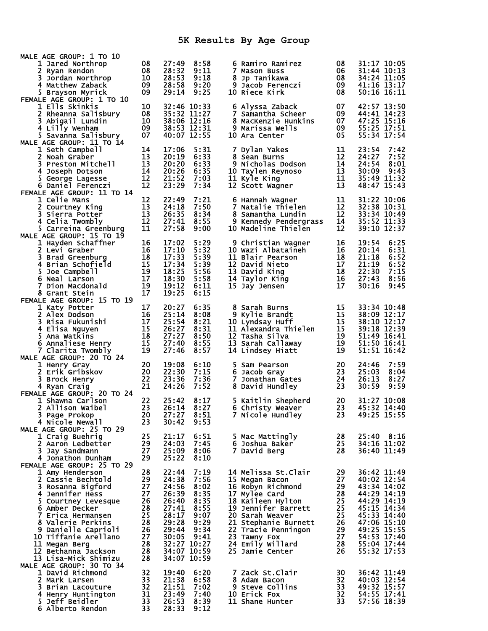| MALE AGE GROUP: 1 TO 10                          |          |                |              |                                          |          |                                |
|--------------------------------------------------|----------|----------------|--------------|------------------------------------------|----------|--------------------------------|
| 1 Jared Northrop                                 | 08       | 27:49          | 8:58         | 6 Ramiro Ramirez                         | 08       | 31:17 10:05                    |
| 2 Ryan Rendon<br>3 Jordan Northrop               | 08<br>10 | 28:32<br>28:53 | 9:11<br>9:18 | 7 Mason Buss<br>8 Jp Tanikawa            | 06<br>08 | 31:44 10:13<br>34:24 11:05     |
| 4 Matthew Zaback                                 | 09       | 28:58          | 9:20         | 9 Jacob Ferenczi                         | 09       | 41:16 13:17                    |
| 5 Brayson Myrick                                 | 09       | 29:14          | 9:25         | 10 Riece Kirk                            | 08       | 50:16 16:11                    |
| FEMALE AGE GROUP: 1 TO 10                        |          |                |              |                                          |          |                                |
| 1 Ells Skinkis                                   | 10       |                | 32:46 10:33  | 6 Alyssa Zaback                          | 07       | 42:57 13:50                    |
| 2 Rheanna Salisbury                              | 08       |                | 35:32 11:27  | 7 Samantha Scheer                        | 09       | 44:41 14:23                    |
| 3 Abigail Lundin                                 | 10       |                | 38:06 12:16  | 8 MacKenzie Hunkins                      | 07       | 47:25 15:16                    |
| 4 Lilly Wenham                                   | 09       |                | 38:53 12:31  | 9 Marissa Wells                          | 09       | 55:25 17:51                    |
| 5 Savanna Salisbury                              | 07       | 40:07 12:55    |              | 10 Ara Center                            | 05       | 55:34 17:54                    |
| MALE AGE GROUP: 11 TO 14                         |          |                |              |                                          |          |                                |
| 1 Seth Campbell<br>2 Noah Graber                 | 14<br>13 | 17:06<br>20:19 | 5:31<br>6:33 | 7 Dylan Yakes<br>8 Sean Burns            | 11<br>12 | 23:54<br>7:42<br>24:27<br>7:52 |
| 3 Preston Mitchell                               | 13       | 20:20          | 6:33         | 9 Nicholas Dodson                        | 14       | 24:54<br>8:01                  |
| 4 Joseph Dotson                                  | 14       | 20:26          | 6:35         | 10 Taylen Reynoso                        | 13       | 30:09<br>9:43                  |
| 5 George Lagesse                                 | 12       | 21:52          | 7:03         | 11 Kyle King                             | 11       | 35:49 11:32                    |
| 6 Daniel Ferenczi                                | 12       | 23:29          | 7:34         | 12 Scott Wagner                          | 13       | 48:47 15:43                    |
| FEMALE AGE GROUP: 11 TO 14                       |          |                |              |                                          |          |                                |
| 1 Celie Mans                                     | 12       | 22:49          | 7:21         | 6 Hannah Wagner                          | 11       | 31:22 10:06                    |
| 2 Courtney King                                  | 13       | 24:18          | 7:50         | 7 Natalie Thielen                        | 12       | 32:38 10:31                    |
| 3 Sierra Potter                                  | 13       | 26:35          | 8:34         | 8 Samantha Lundin                        | 12       | 33:34 10:49                    |
| 4 Celia Twombly                                  | 12       | 27:41          | 8:55         | 9 Kennedy Pendergrass                    | 14       | 35:52 11:33                    |
| 5 Carreina Greenburg                             | 11       | 27:58          | 9:00         | 10 Madeline Thielen                      | 12       | 39:10 12:37                    |
| MALE AGE GROUP: 15 TO 19                         | 16       | 17:02          | 5:29         |                                          | 16       | 19:54<br>6:25                  |
| 1 Hayden Schaffner<br>2 Levi Graber              | 16       | 17:10          | 5:32         | 9 Christian Wagner<br>10 Wazi Albataineh | 16       | 6:31<br>20:14                  |
| 3 Brad Greenburg                                 | 18       | 17:33          | 5:39         | 11 Blair Pearson                         | 18       | 21:18<br>6:52                  |
| 4 Brian Schofield                                | 15       | 17:34          | 5:39         | 12 David Nieto                           | 17       | 21:19<br>6:52                  |
| 5 Joe Campbell                                   | 19       | 18:25          | 5:56         | 13 David King                            | 18       | 7:15<br>22:30                  |
| 6 Neal Larson                                    | 17       | 18:30          | 5:58         | 14 Taylor King                           | 16       | 27:43<br>8:56                  |
| 7 Dion Macdonald                                 | 19       | 19:12          | 6:11         | 15 Jay Jensen                            | 17       | 30:16<br>9:45                  |
| 8 Grant Stein                                    | 17       | 19:25          | 6:15         |                                          |          |                                |
| FEMALE AGE GROUP: 15 TO 19                       |          |                |              |                                          |          |                                |
| 1 Katy Potter                                    | 17       | 20:27          | 6:35         | 8 Sarah Burns                            | 15       | 33:34 10:48                    |
| 2 Alex Dodson                                    | 16       | 25:14          | 8:08         | 9 Kylie Brandt                           | 15       | 38:09 12:17                    |
| 3.<br>Risa Fukunishi                             | 17<br>15 | 25:54          | 8:21         | 10 Lyndsay Huff<br>11 Alexandra Thielen  | 15<br>15 | 38:10 12:17<br>39:18 12:39     |
| 4 Elisa Nguyen<br>5 Ana Watkins                  | 18       | 26:27<br>27:27 | 8:31<br>8:50 | 12 Tasha Silva                           | 19       | 51:49 16:41                    |
| 6 Annaliese Henry                                | 15       | 27:40          | 8:55         | 13 Sarah Callaway                        | 19       | 51:50 16:41                    |
| 7 Clarita Twombly                                | 19       | 27:46          | 8:57         | 14 Lindsey Hiatt                         | 19       | 51:51 16:42                    |
| MALE AGE GROUP: 20 TO 24                         |          |                |              |                                          |          |                                |
| 1 Henry Gray                                     | 20       | 19:08          | 6:10         | 5 Sam Pearson                            | 20       | 24:46<br>7:59                  |
| 2 Erik Gribskov                                  | 20       | 22:30          | 7:15         | 6 Jacob Gray                             | 23       | 25:03<br>8:04                  |
| 3.<br>Brock Henry                                | 22       | 23:36          | 7:36         | 7 Jonathan Gates                         | 24       | 26:13<br>8:27                  |
| 4 Ryan Craig                                     | 21       | 24:26          | 7:52         | 8 David Hundley                          | 23       | 9:59<br>30:59                  |
| FEMALE AGE GROUP: 20 TO 24                       |          |                |              |                                          |          |                                |
| 1 Shawna Carlson                                 | 22<br>23 | 25:42<br>26:14 | 8:17<br>8:27 | 5 Kaitlin Shepherd                       | 20<br>23 | 31:27 10:08<br>45:32 14:40     |
| 2 Allison Waibel<br>3 Page Prokop                | 20       | 27:27          | 8:51         | 6 Christy Weaver<br>7 Nicole Hundley     | 23       | 49:25 15:55                    |
| 4 Nicole Newall                                  | 23       | 30:42          | 9:53         |                                          |          |                                |
| MALE AGE GROUP: 25 TO 29                         |          |                |              |                                          |          |                                |
| 1 Craig Buehrig                                  | 25       | 21:17          | 6:51         | 5 Mac Mattingly                          | 28       | 25:40 8:16                     |
| 2 Aaron Ledbetter                                | 29       | 24:03          | 7:45         | 6 Joshua Baker                           | 25       | 34:16 11:02                    |
| 3 Jay Sandmann                                   | 27       | 25:09          | 8:06         | 7 David Berg                             | 28       | 36:40 11:49                    |
| 4 Jonathon Dunham                                | 29       | 25:22          | 8:10         |                                          |          |                                |
| FEMALE AGE GROUP: 25 TO 29                       |          |                |              |                                          |          |                                |
| 1 Amy Henderson                                  | 28       | 22:44          | 7:19         | 14 Melissa St.Clair                      | 29       | 36:42 11:49                    |
| 2 Cassie Bechtold                                | 29<br>27 | 24:38<br>24:56 | 7:56         | 15 Megan Bacon<br>16 Robyn Richmond      | 27       | 40:02 12:54<br>43:34 14:02     |
| 3 Rosanna Bigford<br>4 Jennifer Hess             | 27       | 26:39          | 8:02<br>8:35 | 17 Mylee Card                            | 29<br>28 | 44:29 14:19                    |
| 5 Courtney Levesque                              | 26       | 26:40          | 8:35         | 18 Kaileen Hylton                        | 25       | 44:29 14:19                    |
| 6 Amber Decker                                   | 28       | 27:41          | 8:55         | 19 Jennifer Barrett                      | 25       | 45:15 14:34                    |
| 7 Erica Hermansen                                | 25       | 28:17          | 9:07         | 20 Sarah Weaver                          | 25       | 45:33 14:40                    |
| 8 Valerie Perkins                                | 28       | 29:28          | 9:29         | 21 Stephanie Burnett                     | 26       | 47:06 15:10                    |
| 9 Danielle Caprioli                              | 26       | 29:44          | 9:34         | 22 Tracie Penningon                      | 29       | 49:25 15:55                    |
| 10 Tiffanie Arellano                             | 27       | 30:05          | 9:41         | 23 Tawny Fox                             | 27       | 54:53 17:40                    |
| 11 Megan Berg                                    | 28       |                | 32:27 10:27  | 24 Emily Willard                         | 28       | 55:04 17:44                    |
| 12 Bethanna Jackson                              | 28       |                | 34:07 10:59  | 25 Jamie Center                          | 26       | 55:32 17:53                    |
| 13 Lisa-Mick Shimizu<br>MALE AGE GROUP: 30 TO 34 | 28       |                | 34:07 10:59  |                                          |          |                                |
| 1 David Richmond                                 | 32       | 19:40          | 6:20         | 7 Zack St.Clair                          | 30       | 36:42 11:49                    |
| 2 Mark Larsen                                    | 33       | 21:38          | 6:58         | 8 Adam Bacon                             | 32       | 40:03 12:54                    |
| 3 Brian Lacouture                                | 32       | 21:51          | 7:02         | 9 Steve Collins                          | 33       | 49:32 15:57                    |
| 4 Henry Huntington                               | 31       | 23:49          | 7:40         | 10 Erick Fox                             | 32       | 54:55 17:41                    |
| 5 Jeff Beidler                                   | 33       | 26:53          | 8:39         | 11 Shane Hunter                          | 33       | 57:56 18:39                    |
| 6 Alberto Rendon                                 | 33       | 28:33          | 9:12         |                                          |          |                                |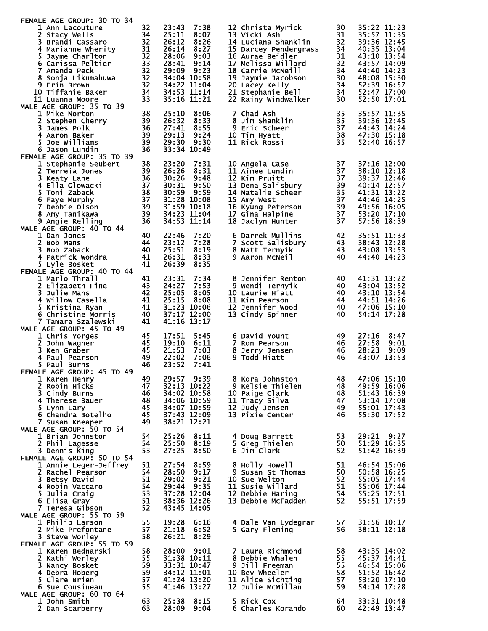| FEMALE AGE GROUP: 30 TO 34                  |          |                                                 |              |                                              |          |                            |
|---------------------------------------------|----------|-------------------------------------------------|--------------|----------------------------------------------|----------|----------------------------|
| 1 Ann Lacouture                             | 32       | 23:43                                           | 7:38         | 12 Christa Myrick                            | 30       | 35:22 11:23                |
| 2 Stacy Wells                               | 34       | 25:11                                           | 8:07         | 13 Vicki Ash                                 | 31       | 35:57 11:35                |
| 3 Brandi Cassaro<br>4 Marianne Wherity      | 32<br>31 | 26:12<br>26:14                                  | 8:26<br>8:27 | 14 Luciana Shanklin<br>15 Darcey Pendergrass | 32<br>34 | 39:36 12:45<br>40:35 13:04 |
| 5.<br>Jayme Charlton                        | 32       | 28:06                                           | 9:03         | 16 Aurae Beidler                             | 31       | 43:10 13:54                |
| 6 Carissa Peltier                           | 33       | 28:41                                           | 9:14         | 17 Melissa Willard                           | 32       | 43:57 14:09                |
| 7 Amanda Peck                               | 32       | 29:09                                           | 9:23         | 18 Carrie McNeill                            | 34       | 44:40 14:23                |
| 8 Sonja Likumahuwa                          | 32       |                                                 | 34:04 10:58  | 19 Jaymie Jacobson                           | 30       | 48:08 15:30                |
| 9 Erin Brown                                | 32       |                                                 | 34:22 11:04  | 20 Lacey Kelly                               | 34       | 52:39 16:57                |
| 10 Tiffanie Baker                           | 34<br>33 |                                                 | 34:53 11:14  | 21 Stephanie Bell                            | 34       | 52:47 17:00                |
| 11 Luanna Moore<br>MALE AGE GROUP: 35 TO 39 |          |                                                 | 35:16 11:21  | 22 Rainy Windwalker                          | 30       | 52:50 17:01                |
| 1 Mike Norton                               | 38       | 25:10                                           | 8:06         | 7 Chad Ash                                   | 35       | 35:57 11:35                |
| 2 Stephen Cherry                            | 39       | 26:32                                           | 8:33         | 8 Jim Shanklin                               | 35       | 39:36 12:45                |
| 3 James Polk                                | 36       | 27:41                                           | 8:55         | 9 Eric Scheer                                | 37       | 44:43 14:24                |
| 4 Aaron Baker                               | 39       | 29:13                                           | 9:24         | 10 Tim Hyatt                                 | 38       | 47:30 15:18                |
| Joe Williams<br>5.                          | 39       | 29:30                                           | 9:30         | 11 Rick Rossi                                | 35       | 52:40 16:57                |
| 6 Jason Lundin                              | 36       |                                                 | 33:34 10:49  |                                              |          |                            |
| FEMALE AGE GROUP: 35 TO 39                  |          |                                                 |              |                                              |          |                            |
| 1 Stephanie Seubert                         | 38       | 23:20                                           | 7:31         | 10 Angela Case                               | 37       | 37:16 12:00                |
| 2 Terreia Jones                             | 39<br>36 | 26:26<br>30:26                                  | 8:31<br>9:48 | 11 Aimee Lundin<br>12 Kim Pruitt             | 37<br>37 | 38:10 12:18<br>39:37 12:46 |
| 3 Keaty Lane<br>4 Ella Glowacki             | 37       | 30:31                                           | 9:50         | 13 Dena Salisbury                            | 39       | 40:14 12:57                |
| 5 Toni Zaback                               | 38       | 30:59                                           | 9:59         | 14 Natalie Scheer                            | 35       | 41:31 13:22                |
| 6 Faye Murphy                               | 37       | 31:28 10:08                                     |              | 15 Amy West                                  | 37       | 44:46 14:25                |
| 7 Debbie Olson                              | 39       |                                                 | 31:59 10:18  | 16 Kyung Peterson                            | 39       | 49:56 16:05                |
| 8 Amy Tanikawa                              | 39       |                                                 | 34:23 11:04  | 17 Gina Halpine                              | 37       | 53:20 17:10                |
| 9 Angie Relling                             | 36       |                                                 | 34:53 11:14  | 18 Jaclyn Hunter                             | 37       | 57:56 18:39                |
| MALE AGE GROUP: 40 TO 44                    |          |                                                 |              |                                              |          |                            |
| 1 Dan Jones                                 | 40       | 22:46                                           | 7:20         | 6 Darrek Mullins                             | 42       | 35:51 11:33                |
| 2 Bob Mans                                  | 44       | 23:12                                           | 7:28         | 7 Scott Salisbury                            | 43       | 38:43 12:28                |
| 3 Bob Zaback                                | 40<br>41 | 25:51                                           | 8:19         | 8 Matt Ternyik                               | 43<br>40 | 43:08 13:53<br>44:40 14:23 |
| 4 Patrick Wondra<br>5 Lyle Bosket           | 41       | 26:31<br>26:39                                  | 8:33<br>8:35 | 9 Aaron McNeil                               |          |                            |
| FEMALE AGE GROUP: 40 TO 44                  |          |                                                 |              |                                              |          |                            |
| 1 Marlo Thrall                              | 41       | 23:31                                           | 7:34         | 8 Jennifer Renton                            | 40       | 41:31 13:22                |
| 2 Elizabeth Fine                            | 43       | 24:27                                           | 7:53         | 9 Wendi Ternyik                              | 40       | 43:04 13:52                |
| <b>3 Julie Mans</b>                         | 42       | 25:05                                           | 8:05         | 10 Laurie Hiatt                              | 40       | 43:10 13:54                |
| 4 Willow Casella                            | 41       | 25:15                                           | 8:08         | 11 Kim Pearson                               | 44       | 44:51 14:26                |
| 5 Kristina Ryan                             | 41       |                                                 | 31:23 10:06  | 12 Jennifer Wood                             | 40       | 47:06 15:10                |
| 6 Christine Morris                          | 40       |                                                 | 37:17 12:00  | 13 Cindy Spinner                             | 40       | 54:14 17:28                |
| 7 Tamara Szalewski                          | 41       | 41:16 13:17                                     |              |                                              |          |                            |
| MALE AGE GROUP: 45 TO 49                    |          | 17:51                                           |              | 6 David Yount                                | 49       | 8:47                       |
| 1 Chris Yorges<br>2.<br>John Wagner         | 45<br>45 | 19:10                                           | 5:45<br>6:11 | 7 Ron Pearson                                | 46       | 27:16<br>27:58<br>9:01     |
| 3 Ken Graber                                | 45       | 21:53                                           | 7:03         | 8 Jerry Jensen                               | 46       | 28:23<br>9:09              |
| 4 Paul Pearson                              | 49       | 22:02                                           | 7:06         | 9 Todd Hiatt                                 | 46       | 43:07 13:53                |
| 5 Paul Burns                                | 46       | 23:52                                           | 7:41         |                                              |          |                            |
| FEMALE AGE GROUP: 45 TO 49                  |          |                                                 |              |                                              |          |                            |
| 1 Karen Henry                               | 49       |                                                 | 29:57 9:39   | 8 Kora Johnston                              | 48       | 47:06 15:10                |
| 2 Robin Hicks                               | 47       |                                                 | 32:13 10:22  | 9 Kelsie Thielen                             | 48       | 49:59 16:06                |
| 3 Cindy Burns                               | 46       |                                                 | 34:02 10:58  | 10 Paige Clark                               | 48       | 51:43 16:39                |
| 4 Therese Bauer                             | 48       | 34:06 10:59<br>34:00<br>34:07 10:59<br>-- 12:09 |              | 11 Tracy Silva                               | 47       | 53:14 17:08                |
| 5 Lynn Lary<br>6 Chandra Botelho            | 45<br>45 | 37:43 12:09                                     |              | 12 Judy Jensen<br>13 Pixie Center            | 49<br>46 | 55:01 17:43<br>55:30 17:52 |
| 7 Susan Kneaper                             | 49       |                                                 | 38:21 12:21  |                                              |          |                            |
| MALE AGE GROUP: 50 TO 54                    |          |                                                 |              |                                              |          |                            |
| 1 Brian Johnston                            | 54       | 25:26                                           | 8:11         | 4 Doug Barrett                               | 53       | 29:21 9:27                 |
| 2 Phil Lagesse                              | 54       | 25:50                                           | 8:19         | 5 Greg Thielen                               | 50       | 51:29 16:35                |
| 3 Dennis King                               | 53       | 27:25                                           | 8:50         | 6 Jim Clark                                  | 52       | 51:42 16:39                |
| FEMALE AGE GROUP: 50 TO 54                  |          |                                                 |              |                                              |          |                            |
| <b>1 Annie Leger-Jeffrey</b>                | 51       | 27:54                                           | 8:59         | 8 Holly Howell                               | 51       | 46:54 15:06                |
| 2 Rachel Pearson                            | 54       | 28:50                                           | 9:17         | 9 Susan St Thomas                            | 50       | 50:58 16:25                |
| 3 Betsy David                               | 51       | 29:02                                           | 9:21         | 10 Sue Welton                                | 52       | 55:05 17:44                |
| 4 Robin Vaccaro<br>5 Julia Craig            | 54<br>53 | 29:44 9:35                                      | 37:28 12:04  | 11 Susie Willard<br>12 Debbie Haring         | 51<br>54 | 55:06 17:44<br>55:25 17:51 |
| 6 Elisa Gray                                | 51       | 38:36 12:26                                     |              | 13 Debbie McFadden                           | 52       | 55:51 17:59                |
| 7 Teresa Gibson                             | 52       | 43:45 14:05                                     |              |                                              |          |                            |
| MALE AGE GROUP: 55 TO 59                    |          |                                                 |              |                                              |          |                            |
| 1 Philip Larson                             | 55       | 19:28                                           | 6:16         | 4 Dale Van Lydegrar                          | 57       | 31:56 10:17                |
| 2 Mike Prefontane                           | 57       | 21:18                                           | 6:52         | 5 Gary Fleming                               | 56       | 38:11 12:18                |
| 3 Steve Worley                              | 58       | 26:21                                           | 8:29         |                                              |          |                            |
| FEMALE AGE GROUP: 55 TO 59                  |          |                                                 |              |                                              |          |                            |
| 1 Karen Bednarski                           | 58       | 28:00 9:01                                      |              | 7 Laura Richmond                             | 58       | 43:35 14:02                |
| 2 Kathi Worley                              | 55       |                                                 | 31:38 10:11  | 8 Debbie Whalen                              | 55       | 45:37 14:41                |
| 3 Nancy Bosket<br>4 Debra Hoberg            | 59<br>59 | 34:12 11:01                                     | 33:31 10:47  | 9 Jill Freeman<br>10 Bev Wheeler             | 55<br>58 | 46:54 15:06<br>51:52 16:42 |
| 5 Clare Brien                               | 57       | 41:24 13:20                                     |              | 11 Alice Sichting                            | 57       | 53:20 17:10                |
| 6 Sue Cousineau                             | 55       |                                                 | 41:46 13:27  | 12 Julie McMillan                            | 59       | 54:14 17:28                |
| MALE AGE GROUP: 60 TO 64                    |          |                                                 |              |                                              |          |                            |
| 1 John Smith                                | 63       | 25:38                                           | 8:15         | 5 Rick Cox                                   | 64       | 33:31 10:48                |
| 2 Dan Scarberry                             | 63       | 28:09                                           | 9:04         | 6 Charles Korando                            | 60       | 42:49 13:47                |